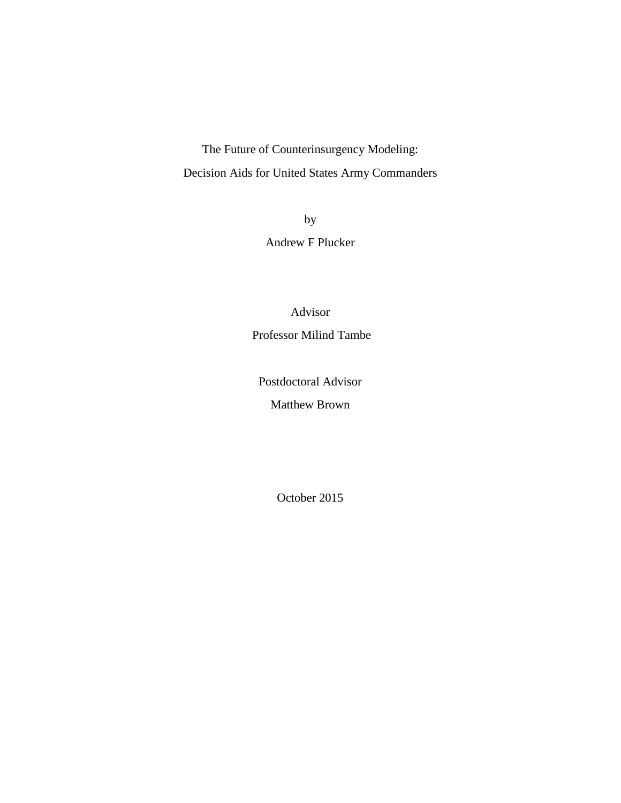The Future of Counterinsurgency Modeling: Decision Aids for United States Army Commanders

> by Andrew F Plucker

Advisor Professor Milind Tambe

Postdoctoral Advisor

Matthew Brown

October 2015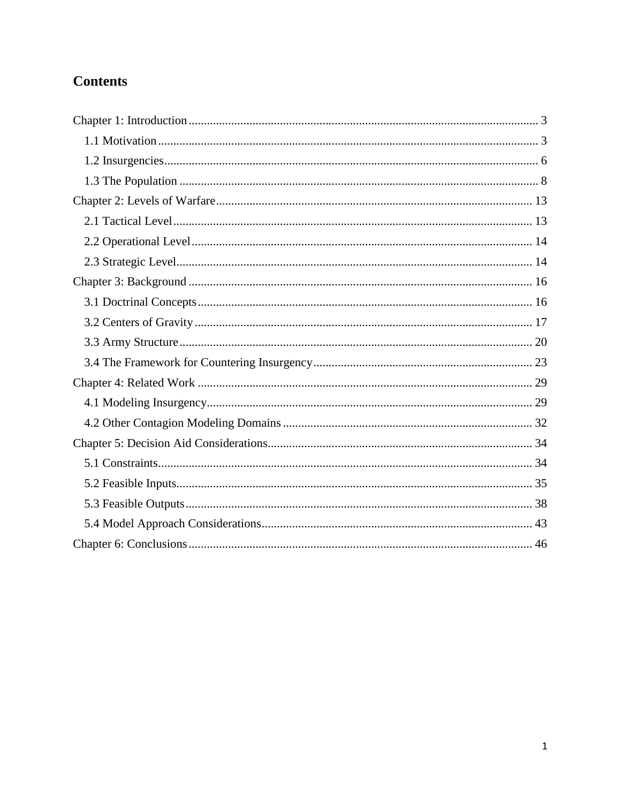# **Contents**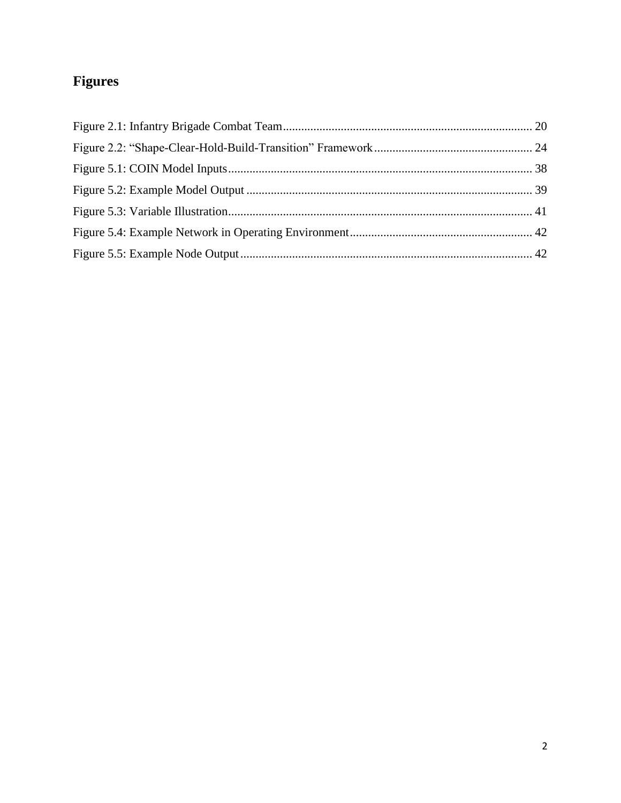# Figures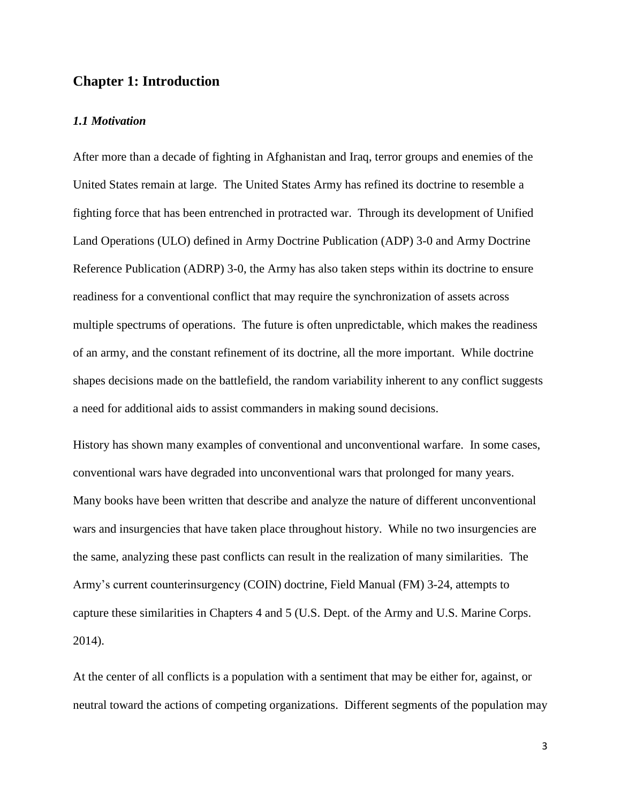## <span id="page-3-0"></span>**Chapter 1: Introduction**

#### <span id="page-3-1"></span>*1.1 Motivation*

After more than a decade of fighting in Afghanistan and Iraq, terror groups and enemies of the United States remain at large. The United States Army has refined its doctrine to resemble a fighting force that has been entrenched in protracted war. Through its development of Unified Land Operations (ULO) defined in Army Doctrine Publication (ADP) 3-0 and Army Doctrine Reference Publication (ADRP) 3-0, the Army has also taken steps within its doctrine to ensure readiness for a conventional conflict that may require the synchronization of assets across multiple spectrums of operations. The future is often unpredictable, which makes the readiness of an army, and the constant refinement of its doctrine, all the more important. While doctrine shapes decisions made on the battlefield, the random variability inherent to any conflict suggests a need for additional aids to assist commanders in making sound decisions.

History has shown many examples of conventional and unconventional warfare. In some cases, conventional wars have degraded into unconventional wars that prolonged for many years. Many books have been written that describe and analyze the nature of different unconventional wars and insurgencies that have taken place throughout history. While no two insurgencies are the same, analyzing these past conflicts can result in the realization of many similarities. The Army's current counterinsurgency (COIN) doctrine, Field Manual (FM) 3-24, attempts to capture these similarities in Chapters 4 and 5 (U.S. Dept. of the Army and U.S. Marine Corps. 2014).

At the center of all conflicts is a population with a sentiment that may be either for, against, or neutral toward the actions of competing organizations. Different segments of the population may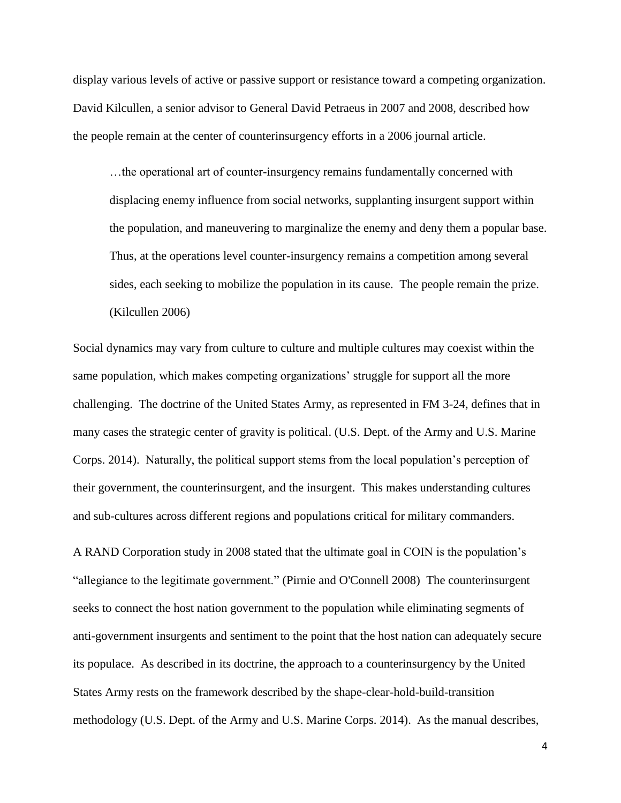display various levels of active or passive support or resistance toward a competing organization. David Kilcullen, a senior advisor to General David Petraeus in 2007 and 2008, described how the people remain at the center of counterinsurgency efforts in a 2006 journal article.

…the operational art of counter-insurgency remains fundamentally concerned with displacing enemy influence from social networks, supplanting insurgent support within the population, and maneuvering to marginalize the enemy and deny them a popular base. Thus, at the operations level counter-insurgency remains a competition among several sides, each seeking to mobilize the population in its cause. The people remain the prize. (Kilcullen 2006)

Social dynamics may vary from culture to culture and multiple cultures may coexist within the same population, which makes competing organizations' struggle for support all the more challenging. The doctrine of the United States Army, as represented in FM 3-24, defines that in many cases the strategic center of gravity is political. (U.S. Dept. of the Army and U.S. Marine Corps. 2014). Naturally, the political support stems from the local population's perception of their government, the counterinsurgent, and the insurgent. This makes understanding cultures and sub-cultures across different regions and populations critical for military commanders.

A RAND Corporation study in 2008 stated that the ultimate goal in COIN is the population's "allegiance to the legitimate government." (Pirnie and O'Connell 2008) The counterinsurgent seeks to connect the host nation government to the population while eliminating segments of anti-government insurgents and sentiment to the point that the host nation can adequately secure its populace. As described in its doctrine, the approach to a counterinsurgency by the United States Army rests on the framework described by the shape-clear-hold-build-transition methodology (U.S. Dept. of the Army and U.S. Marine Corps. 2014). As the manual describes,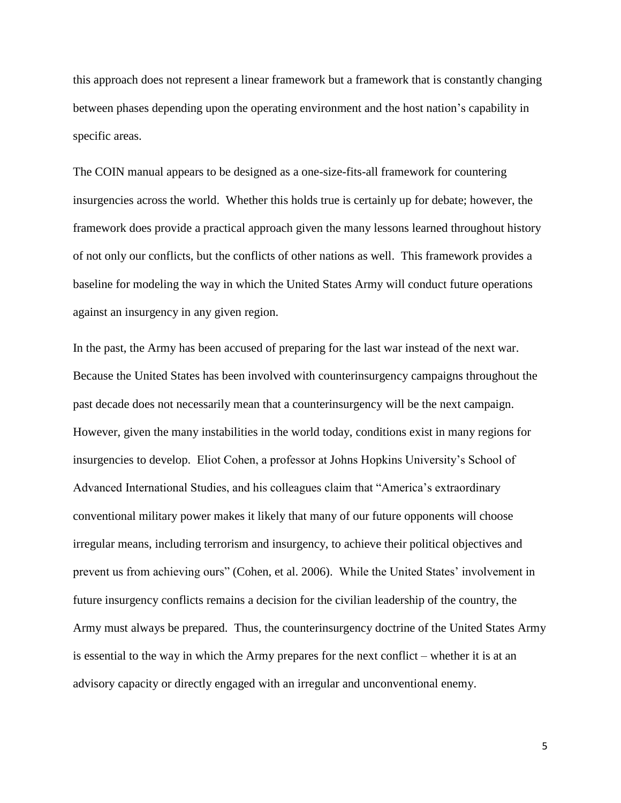this approach does not represent a linear framework but a framework that is constantly changing between phases depending upon the operating environment and the host nation's capability in specific areas.

The COIN manual appears to be designed as a one-size-fits-all framework for countering insurgencies across the world. Whether this holds true is certainly up for debate; however, the framework does provide a practical approach given the many lessons learned throughout history of not only our conflicts, but the conflicts of other nations as well. This framework provides a baseline for modeling the way in which the United States Army will conduct future operations against an insurgency in any given region.

In the past, the Army has been accused of preparing for the last war instead of the next war. Because the United States has been involved with counterinsurgency campaigns throughout the past decade does not necessarily mean that a counterinsurgency will be the next campaign. However, given the many instabilities in the world today, conditions exist in many regions for insurgencies to develop. Eliot Cohen, a professor at Johns Hopkins University's School of Advanced International Studies, and his colleagues claim that "America's extraordinary conventional military power makes it likely that many of our future opponents will choose irregular means, including terrorism and insurgency, to achieve their political objectives and prevent us from achieving ours" (Cohen, et al. 2006). While the United States' involvement in future insurgency conflicts remains a decision for the civilian leadership of the country, the Army must always be prepared. Thus, the counterinsurgency doctrine of the United States Army is essential to the way in which the Army prepares for the next conflict – whether it is at an advisory capacity or directly engaged with an irregular and unconventional enemy.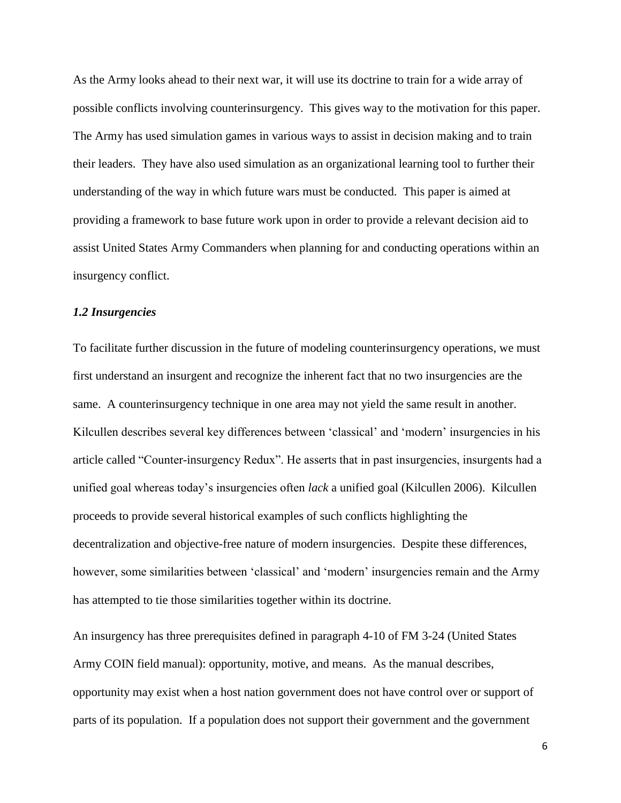As the Army looks ahead to their next war, it will use its doctrine to train for a wide array of possible conflicts involving counterinsurgency. This gives way to the motivation for this paper. The Army has used simulation games in various ways to assist in decision making and to train their leaders. They have also used simulation as an organizational learning tool to further their understanding of the way in which future wars must be conducted. This paper is aimed at providing a framework to base future work upon in order to provide a relevant decision aid to assist United States Army Commanders when planning for and conducting operations within an insurgency conflict.

## <span id="page-6-0"></span>*1.2 Insurgencies*

To facilitate further discussion in the future of modeling counterinsurgency operations, we must first understand an insurgent and recognize the inherent fact that no two insurgencies are the same. A counterinsurgency technique in one area may not yield the same result in another. Kilcullen describes several key differences between 'classical' and 'modern' insurgencies in his article called "Counter-insurgency Redux". He asserts that in past insurgencies, insurgents had a unified goal whereas today's insurgencies often *lack* a unified goal (Kilcullen 2006). Kilcullen proceeds to provide several historical examples of such conflicts highlighting the decentralization and objective-free nature of modern insurgencies. Despite these differences, however, some similarities between 'classical' and 'modern' insurgencies remain and the Army has attempted to tie those similarities together within its doctrine.

An insurgency has three prerequisites defined in paragraph 4-10 of FM 3-24 (United States Army COIN field manual): opportunity, motive, and means. As the manual describes, opportunity may exist when a host nation government does not have control over or support of parts of its population. If a population does not support their government and the government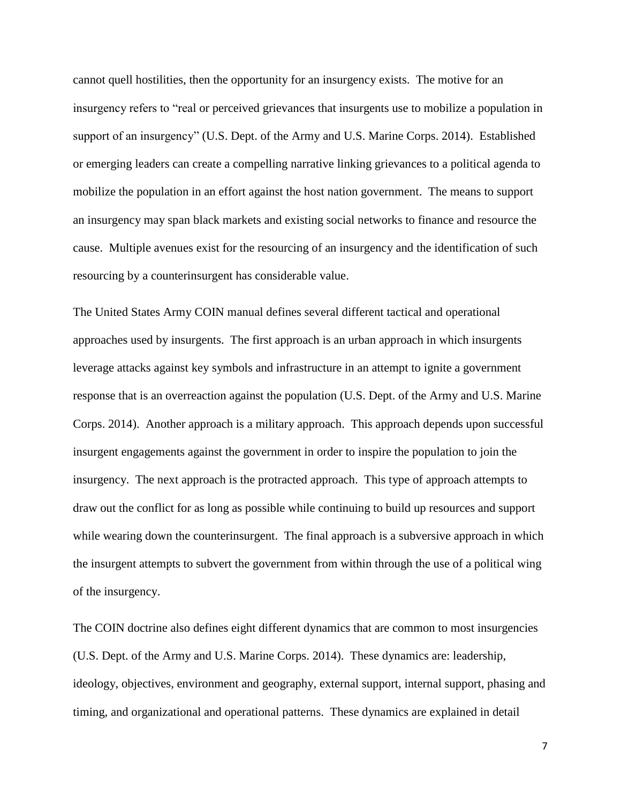cannot quell hostilities, then the opportunity for an insurgency exists. The motive for an insurgency refers to "real or perceived grievances that insurgents use to mobilize a population in support of an insurgency" (U.S. Dept. of the Army and U.S. Marine Corps. 2014). Established or emerging leaders can create a compelling narrative linking grievances to a political agenda to mobilize the population in an effort against the host nation government. The means to support an insurgency may span black markets and existing social networks to finance and resource the cause. Multiple avenues exist for the resourcing of an insurgency and the identification of such resourcing by a counterinsurgent has considerable value.

The United States Army COIN manual defines several different tactical and operational approaches used by insurgents. The first approach is an urban approach in which insurgents leverage attacks against key symbols and infrastructure in an attempt to ignite a government response that is an overreaction against the population (U.S. Dept. of the Army and U.S. Marine Corps. 2014). Another approach is a military approach. This approach depends upon successful insurgent engagements against the government in order to inspire the population to join the insurgency. The next approach is the protracted approach. This type of approach attempts to draw out the conflict for as long as possible while continuing to build up resources and support while wearing down the counterinsurgent. The final approach is a subversive approach in which the insurgent attempts to subvert the government from within through the use of a political wing of the insurgency.

The COIN doctrine also defines eight different dynamics that are common to most insurgencies (U.S. Dept. of the Army and U.S. Marine Corps. 2014). These dynamics are: leadership, ideology, objectives, environment and geography, external support, internal support, phasing and timing, and organizational and operational patterns. These dynamics are explained in detail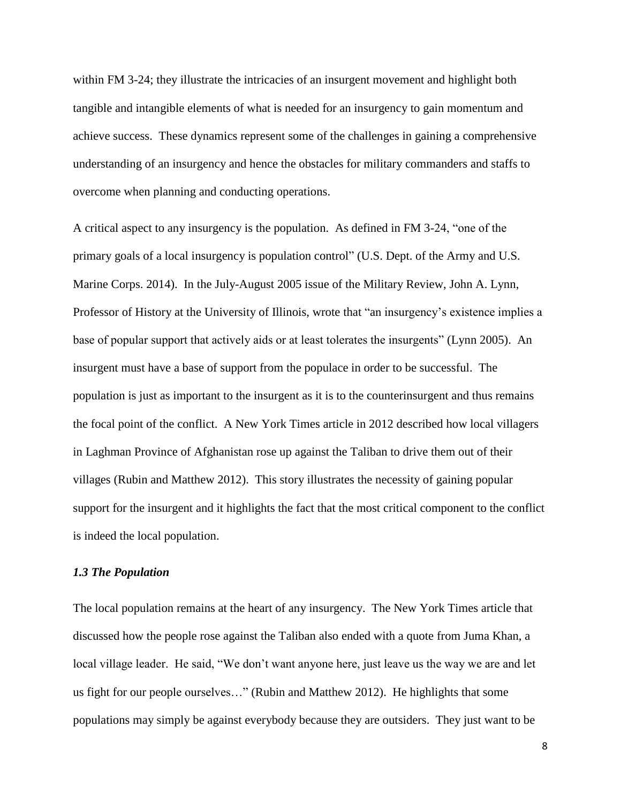within FM 3-24; they illustrate the intricacies of an insurgent movement and highlight both tangible and intangible elements of what is needed for an insurgency to gain momentum and achieve success. These dynamics represent some of the challenges in gaining a comprehensive understanding of an insurgency and hence the obstacles for military commanders and staffs to overcome when planning and conducting operations.

A critical aspect to any insurgency is the population. As defined in FM 3-24, "one of the primary goals of a local insurgency is population control" (U.S. Dept. of the Army and U.S. Marine Corps. 2014). In the July-August 2005 issue of the Military Review, John A. Lynn, Professor of History at the University of Illinois, wrote that "an insurgency's existence implies a base of popular support that actively aids or at least tolerates the insurgents" (Lynn 2005). An insurgent must have a base of support from the populace in order to be successful. The population is just as important to the insurgent as it is to the counterinsurgent and thus remains the focal point of the conflict. A New York Times article in 2012 described how local villagers in Laghman Province of Afghanistan rose up against the Taliban to drive them out of their villages (Rubin and Matthew 2012). This story illustrates the necessity of gaining popular support for the insurgent and it highlights the fact that the most critical component to the conflict is indeed the local population.

#### <span id="page-8-0"></span>*1.3 The Population*

The local population remains at the heart of any insurgency. The New York Times article that discussed how the people rose against the Taliban also ended with a quote from Juma Khan, a local village leader. He said, "We don't want anyone here, just leave us the way we are and let us fight for our people ourselves…" (Rubin and Matthew 2012). He highlights that some populations may simply be against everybody because they are outsiders. They just want to be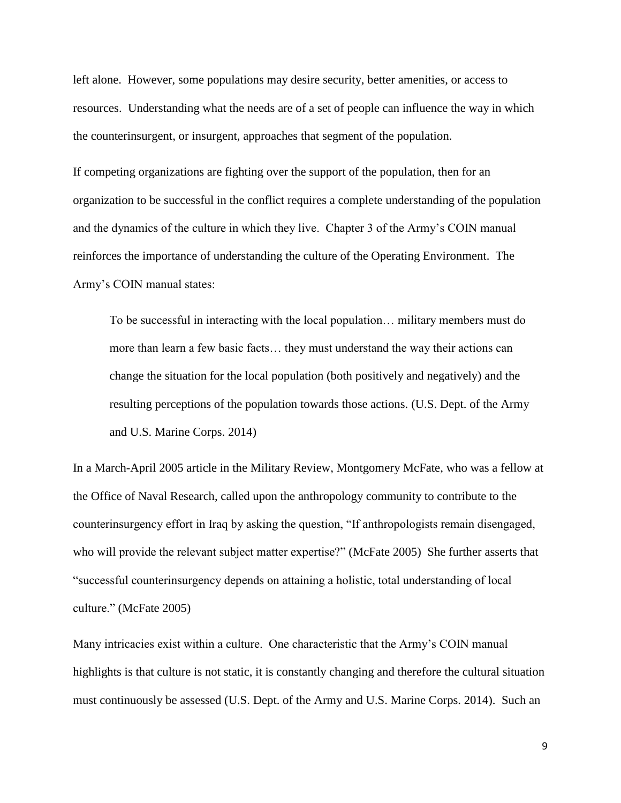left alone. However, some populations may desire security, better amenities, or access to resources. Understanding what the needs are of a set of people can influence the way in which the counterinsurgent, or insurgent, approaches that segment of the population.

If competing organizations are fighting over the support of the population, then for an organization to be successful in the conflict requires a complete understanding of the population and the dynamics of the culture in which they live. Chapter 3 of the Army's COIN manual reinforces the importance of understanding the culture of the Operating Environment. The Army's COIN manual states:

To be successful in interacting with the local population… military members must do more than learn a few basic facts… they must understand the way their actions can change the situation for the local population (both positively and negatively) and the resulting perceptions of the population towards those actions. (U.S. Dept. of the Army and U.S. Marine Corps. 2014)

In a March-April 2005 article in the Military Review, Montgomery McFate, who was a fellow at the Office of Naval Research, called upon the anthropology community to contribute to the counterinsurgency effort in Iraq by asking the question, "If anthropologists remain disengaged, who will provide the relevant subject matter expertise?" (McFate 2005) She further asserts that "successful counterinsurgency depends on attaining a holistic, total understanding of local culture." (McFate 2005)

Many intricacies exist within a culture. One characteristic that the Army's COIN manual highlights is that culture is not static, it is constantly changing and therefore the cultural situation must continuously be assessed (U.S. Dept. of the Army and U.S. Marine Corps. 2014). Such an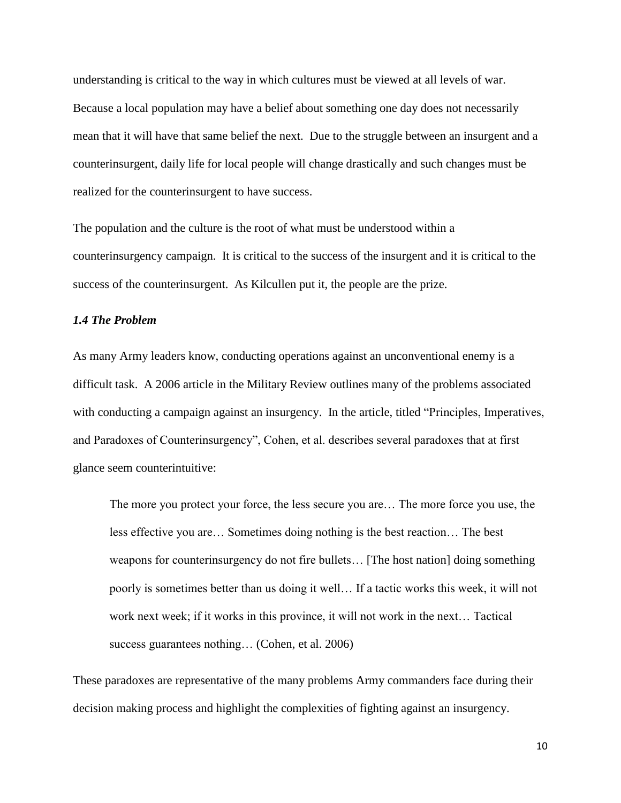understanding is critical to the way in which cultures must be viewed at all levels of war. Because a local population may have a belief about something one day does not necessarily mean that it will have that same belief the next. Due to the struggle between an insurgent and a counterinsurgent, daily life for local people will change drastically and such changes must be realized for the counterinsurgent to have success.

The population and the culture is the root of what must be understood within a counterinsurgency campaign. It is critical to the success of the insurgent and it is critical to the success of the counterinsurgent. As Kilcullen put it, the people are the prize.

## *1.4 The Problem*

As many Army leaders know, conducting operations against an unconventional enemy is a difficult task. A 2006 article in the Military Review outlines many of the problems associated with conducting a campaign against an insurgency. In the article, titled "Principles, Imperatives, and Paradoxes of Counterinsurgency", Cohen, et al. describes several paradoxes that at first glance seem counterintuitive:

The more you protect your force, the less secure you are… The more force you use, the less effective you are… Sometimes doing nothing is the best reaction… The best weapons for counterinsurgency do not fire bullets… [The host nation] doing something poorly is sometimes better than us doing it well… If a tactic works this week, it will not work next week; if it works in this province, it will not work in the next… Tactical success guarantees nothing… (Cohen, et al. 2006)

These paradoxes are representative of the many problems Army commanders face during their decision making process and highlight the complexities of fighting against an insurgency.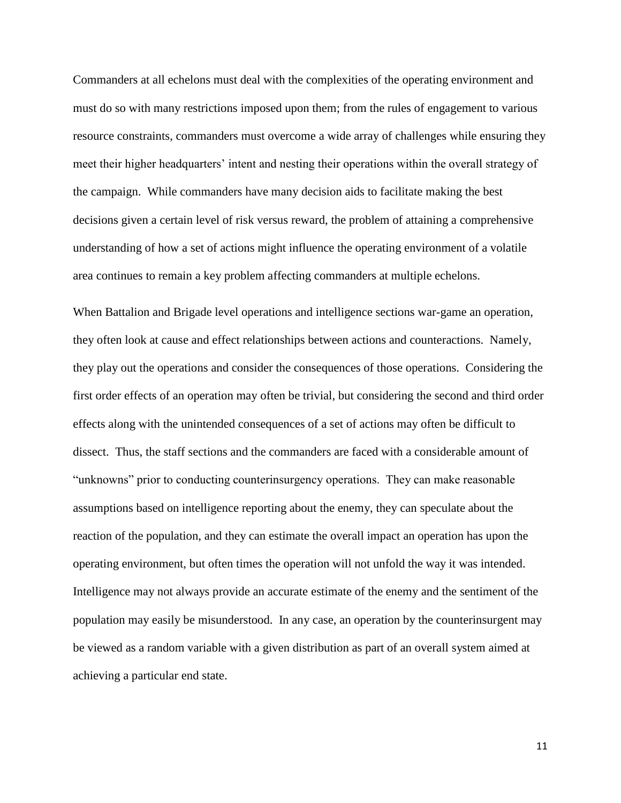Commanders at all echelons must deal with the complexities of the operating environment and must do so with many restrictions imposed upon them; from the rules of engagement to various resource constraints, commanders must overcome a wide array of challenges while ensuring they meet their higher headquarters' intent and nesting their operations within the overall strategy of the campaign. While commanders have many decision aids to facilitate making the best decisions given a certain level of risk versus reward, the problem of attaining a comprehensive understanding of how a set of actions might influence the operating environment of a volatile area continues to remain a key problem affecting commanders at multiple echelons.

When Battalion and Brigade level operations and intelligence sections war-game an operation, they often look at cause and effect relationships between actions and counteractions. Namely, they play out the operations and consider the consequences of those operations. Considering the first order effects of an operation may often be trivial, but considering the second and third order effects along with the unintended consequences of a set of actions may often be difficult to dissect. Thus, the staff sections and the commanders are faced with a considerable amount of "unknowns" prior to conducting counterinsurgency operations. They can make reasonable assumptions based on intelligence reporting about the enemy, they can speculate about the reaction of the population, and they can estimate the overall impact an operation has upon the operating environment, but often times the operation will not unfold the way it was intended. Intelligence may not always provide an accurate estimate of the enemy and the sentiment of the population may easily be misunderstood. In any case, an operation by the counterinsurgent may be viewed as a random variable with a given distribution as part of an overall system aimed at achieving a particular end state.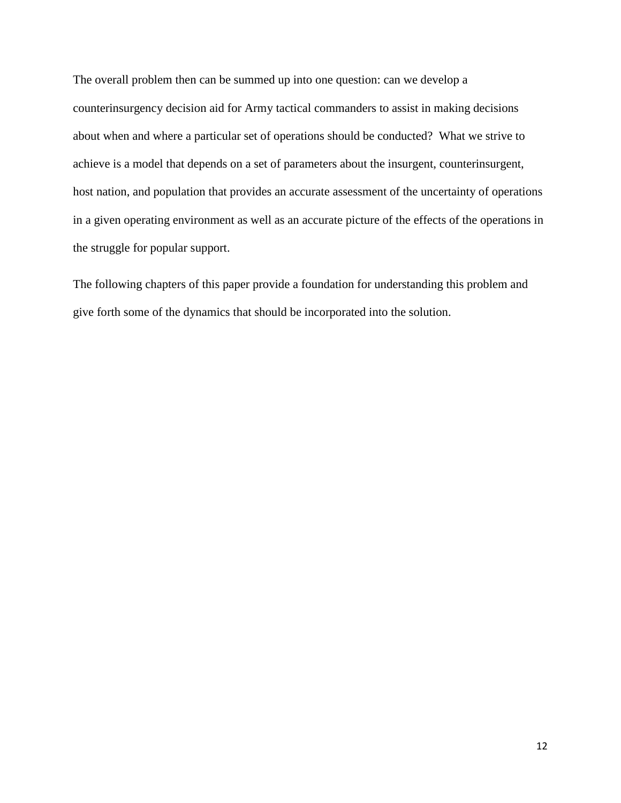The overall problem then can be summed up into one question: can we develop a counterinsurgency decision aid for Army tactical commanders to assist in making decisions about when and where a particular set of operations should be conducted? What we strive to achieve is a model that depends on a set of parameters about the insurgent, counterinsurgent, host nation, and population that provides an accurate assessment of the uncertainty of operations in a given operating environment as well as an accurate picture of the effects of the operations in the struggle for popular support.

<span id="page-12-0"></span>The following chapters of this paper provide a foundation for understanding this problem and give forth some of the dynamics that should be incorporated into the solution.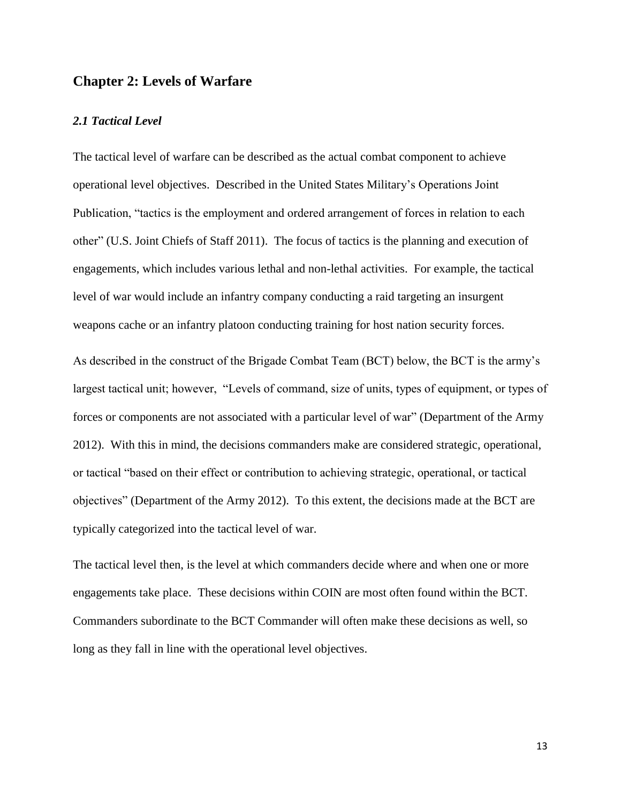## **Chapter 2: Levels of Warfare**

## <span id="page-13-0"></span>*2.1 Tactical Level*

The tactical level of warfare can be described as the actual combat component to achieve operational level objectives. Described in the United States Military's Operations Joint Publication, "tactics is the employment and ordered arrangement of forces in relation to each other" (U.S. Joint Chiefs of Staff 2011). The focus of tactics is the planning and execution of engagements, which includes various lethal and non-lethal activities. For example, the tactical level of war would include an infantry company conducting a raid targeting an insurgent weapons cache or an infantry platoon conducting training for host nation security forces.

As described in the construct of the Brigade Combat Team (BCT) below, the BCT is the army's largest tactical unit; however, "Levels of command, size of units, types of equipment, or types of forces or components are not associated with a particular level of war" (Department of the Army 2012). With this in mind, the decisions commanders make are considered strategic, operational, or tactical "based on their effect or contribution to achieving strategic, operational, or tactical objectives" (Department of the Army 2012). To this extent, the decisions made at the BCT are typically categorized into the tactical level of war.

<span id="page-13-1"></span>The tactical level then, is the level at which commanders decide where and when one or more engagements take place. These decisions within COIN are most often found within the BCT. Commanders subordinate to the BCT Commander will often make these decisions as well, so long as they fall in line with the operational level objectives.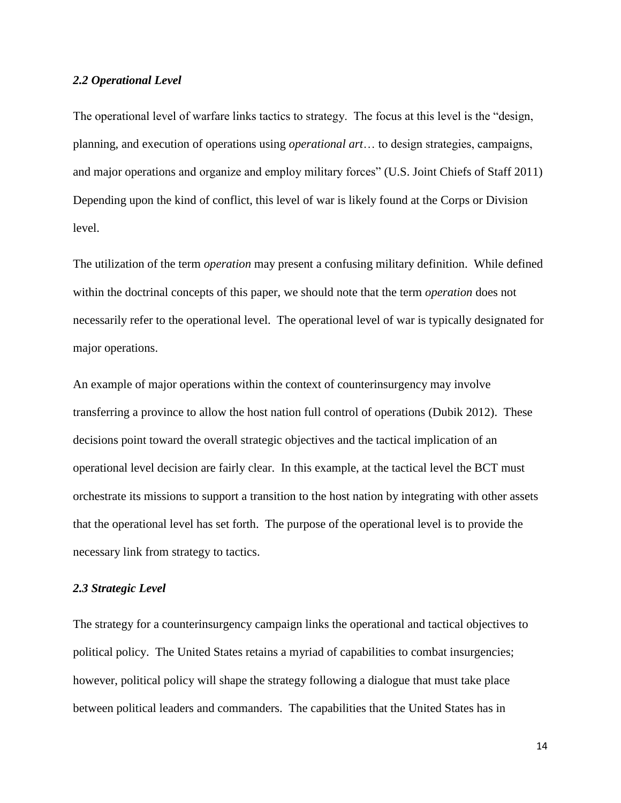#### *2.2 Operational Level*

The operational level of warfare links tactics to strategy. The focus at this level is the "design, planning, and execution of operations using *operational art*… to design strategies, campaigns, and major operations and organize and employ military forces" (U.S. Joint Chiefs of Staff 2011) Depending upon the kind of conflict, this level of war is likely found at the Corps or Division level.

The utilization of the term *operation* may present a confusing military definition. While defined within the doctrinal concepts of this paper, we should note that the term *operation* does not necessarily refer to the operational level. The operational level of war is typically designated for major operations.

An example of major operations within the context of counterinsurgency may involve transferring a province to allow the host nation full control of operations (Dubik 2012). These decisions point toward the overall strategic objectives and the tactical implication of an operational level decision are fairly clear. In this example, at the tactical level the BCT must orchestrate its missions to support a transition to the host nation by integrating with other assets that the operational level has set forth. The purpose of the operational level is to provide the necessary link from strategy to tactics.

## <span id="page-14-0"></span>*2.3 Strategic Level*

The strategy for a counterinsurgency campaign links the operational and tactical objectives to political policy. The United States retains a myriad of capabilities to combat insurgencies; however, political policy will shape the strategy following a dialogue that must take place between political leaders and commanders. The capabilities that the United States has in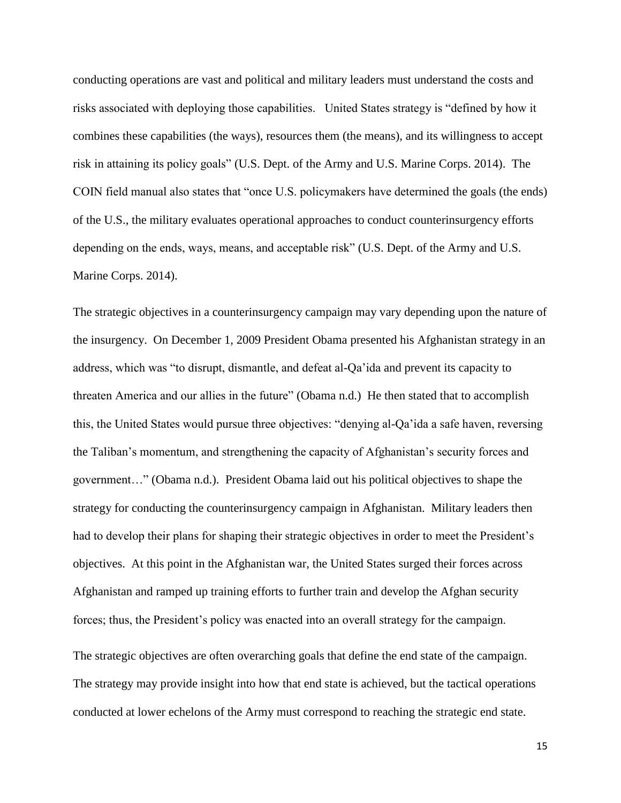conducting operations are vast and political and military leaders must understand the costs and risks associated with deploying those capabilities. United States strategy is "defined by how it combines these capabilities (the ways), resources them (the means), and its willingness to accept risk in attaining its policy goals" (U.S. Dept. of the Army and U.S. Marine Corps. 2014). The COIN field manual also states that "once U.S. policymakers have determined the goals (the ends) of the U.S., the military evaluates operational approaches to conduct counterinsurgency efforts depending on the ends, ways, means, and acceptable risk" (U.S. Dept. of the Army and U.S. Marine Corps. 2014).

The strategic objectives in a counterinsurgency campaign may vary depending upon the nature of the insurgency. On December 1, 2009 President Obama presented his Afghanistan strategy in an address, which was "to disrupt, dismantle, and defeat al-Qa'ida and prevent its capacity to threaten America and our allies in the future" (Obama n.d.) He then stated that to accomplish this, the United States would pursue three objectives: "denying al-Qa'ida a safe haven, reversing the Taliban's momentum, and strengthening the capacity of Afghanistan's security forces and government…" (Obama n.d.). President Obama laid out his political objectives to shape the strategy for conducting the counterinsurgency campaign in Afghanistan. Military leaders then had to develop their plans for shaping their strategic objectives in order to meet the President's objectives. At this point in the Afghanistan war, the United States surged their forces across Afghanistan and ramped up training efforts to further train and develop the Afghan security forces; thus, the President's policy was enacted into an overall strategy for the campaign.

The strategic objectives are often overarching goals that define the end state of the campaign. The strategy may provide insight into how that end state is achieved, but the tactical operations conducted at lower echelons of the Army must correspond to reaching the strategic end state.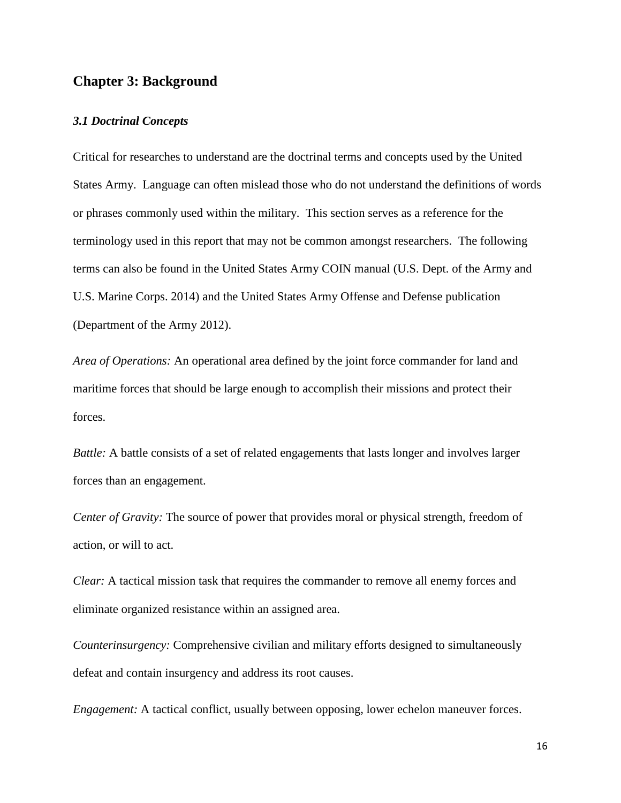# <span id="page-16-0"></span>**Chapter 3: Background**

#### <span id="page-16-1"></span>*3.1 Doctrinal Concepts*

Critical for researches to understand are the doctrinal terms and concepts used by the United States Army. Language can often mislead those who do not understand the definitions of words or phrases commonly used within the military. This section serves as a reference for the terminology used in this report that may not be common amongst researchers. The following terms can also be found in the United States Army COIN manual (U.S. Dept. of the Army and U.S. Marine Corps. 2014) and the United States Army Offense and Defense publication (Department of the Army 2012).

*Area of Operations:* An operational area defined by the joint force commander for land and maritime forces that should be large enough to accomplish their missions and protect their forces.

*Battle:* A battle consists of a set of related engagements that lasts longer and involves larger forces than an engagement.

*Center of Gravity:* The source of power that provides moral or physical strength, freedom of action, or will to act.

*Clear:* A tactical mission task that requires the commander to remove all enemy forces and eliminate organized resistance within an assigned area.

*Counterinsurgency:* Comprehensive civilian and military efforts designed to simultaneously defeat and contain insurgency and address its root causes.

*Engagement:* A tactical conflict, usually between opposing, lower echelon maneuver forces.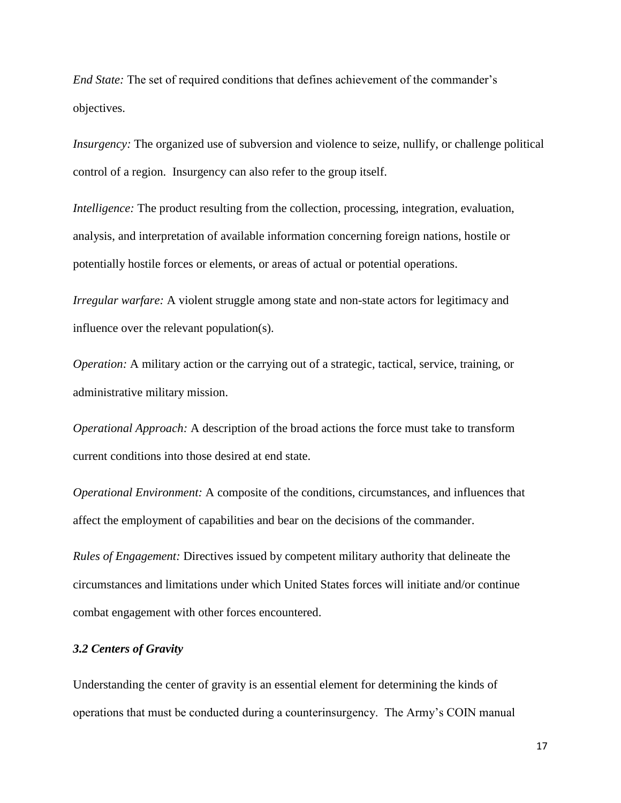*End State:* The set of required conditions that defines achievement of the commander's objectives.

*Insurgency:* The organized use of subversion and violence to seize, nullify, or challenge political control of a region. Insurgency can also refer to the group itself.

*Intelligence:* The product resulting from the collection, processing, integration, evaluation, analysis, and interpretation of available information concerning foreign nations, hostile or potentially hostile forces or elements, or areas of actual or potential operations.

*Irregular warfare:* A violent struggle among state and non-state actors for legitimacy and influence over the relevant population(s).

*Operation:* A military action or the carrying out of a strategic, tactical, service, training, or administrative military mission.

*Operational Approach:* A description of the broad actions the force must take to transform current conditions into those desired at end state.

*Operational Environment:* A composite of the conditions, circumstances, and influences that affect the employment of capabilities and bear on the decisions of the commander.

*Rules of Engagement:* Directives issued by competent military authority that delineate the circumstances and limitations under which United States forces will initiate and/or continue combat engagement with other forces encountered.

## <span id="page-17-0"></span>*3.2 Centers of Gravity*

Understanding the center of gravity is an essential element for determining the kinds of operations that must be conducted during a counterinsurgency. The Army's COIN manual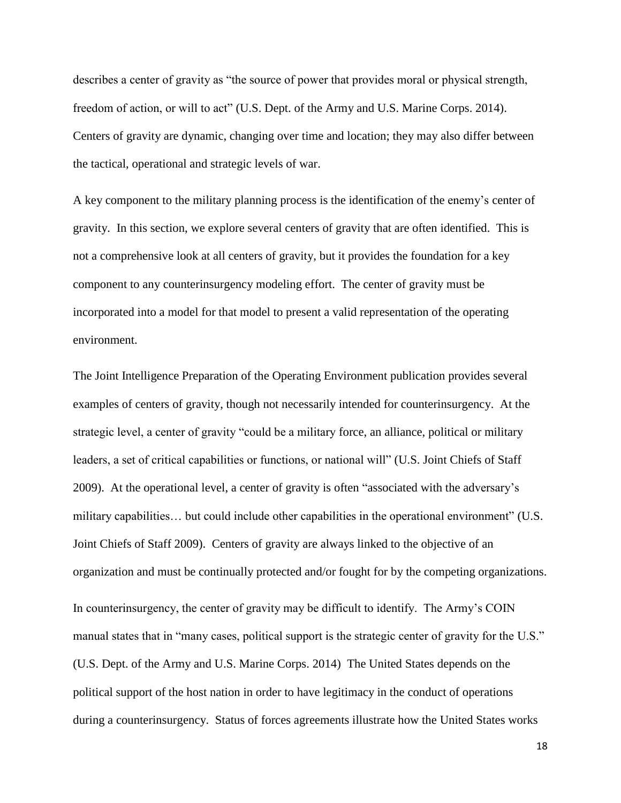describes a center of gravity as "the source of power that provides moral or physical strength, freedom of action, or will to act" (U.S. Dept. of the Army and U.S. Marine Corps. 2014). Centers of gravity are dynamic, changing over time and location; they may also differ between the tactical, operational and strategic levels of war.

A key component to the military planning process is the identification of the enemy's center of gravity. In this section, we explore several centers of gravity that are often identified. This is not a comprehensive look at all centers of gravity, but it provides the foundation for a key component to any counterinsurgency modeling effort. The center of gravity must be incorporated into a model for that model to present a valid representation of the operating environment.

The Joint Intelligence Preparation of the Operating Environment publication provides several examples of centers of gravity, though not necessarily intended for counterinsurgency. At the strategic level, a center of gravity "could be a military force, an alliance, political or military leaders, a set of critical capabilities or functions, or national will" (U.S. Joint Chiefs of Staff 2009). At the operational level, a center of gravity is often "associated with the adversary's military capabilities… but could include other capabilities in the operational environment" (U.S. Joint Chiefs of Staff 2009). Centers of gravity are always linked to the objective of an organization and must be continually protected and/or fought for by the competing organizations. In counterinsurgency, the center of gravity may be difficult to identify. The Army's COIN manual states that in "many cases, political support is the strategic center of gravity for the U.S." (U.S. Dept. of the Army and U.S. Marine Corps. 2014) The United States depends on the political support of the host nation in order to have legitimacy in the conduct of operations during a counterinsurgency. Status of forces agreements illustrate how the United States works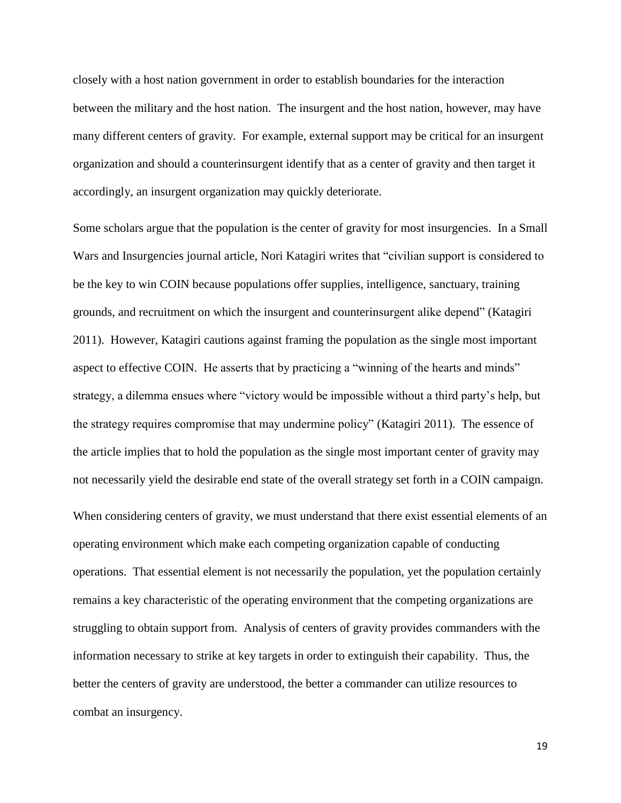closely with a host nation government in order to establish boundaries for the interaction between the military and the host nation. The insurgent and the host nation, however, may have many different centers of gravity. For example, external support may be critical for an insurgent organization and should a counterinsurgent identify that as a center of gravity and then target it accordingly, an insurgent organization may quickly deteriorate.

Some scholars argue that the population is the center of gravity for most insurgencies. In a Small Wars and Insurgencies journal article, Nori Katagiri writes that "civilian support is considered to be the key to win COIN because populations offer supplies, intelligence, sanctuary, training grounds, and recruitment on which the insurgent and counterinsurgent alike depend" (Katagiri 2011). However, Katagiri cautions against framing the population as the single most important aspect to effective COIN. He asserts that by practicing a "winning of the hearts and minds" strategy, a dilemma ensues where "victory would be impossible without a third party's help, but the strategy requires compromise that may undermine policy" (Katagiri 2011). The essence of the article implies that to hold the population as the single most important center of gravity may not necessarily yield the desirable end state of the overall strategy set forth in a COIN campaign.

When considering centers of gravity, we must understand that there exist essential elements of an operating environment which make each competing organization capable of conducting operations. That essential element is not necessarily the population, yet the population certainly remains a key characteristic of the operating environment that the competing organizations are struggling to obtain support from. Analysis of centers of gravity provides commanders with the information necessary to strike at key targets in order to extinguish their capability. Thus, the better the centers of gravity are understood, the better a commander can utilize resources to combat an insurgency.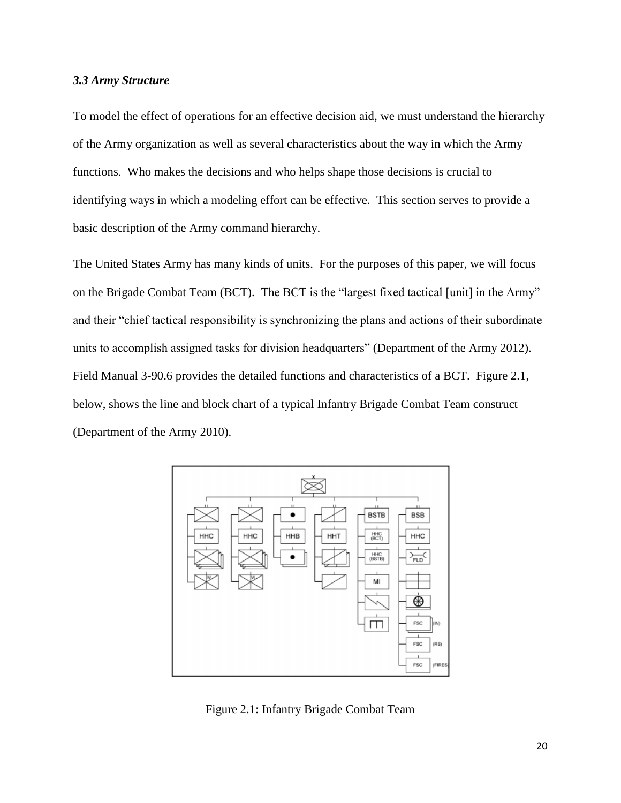## <span id="page-20-0"></span>*3.3 Army Structure*

To model the effect of operations for an effective decision aid, we must understand the hierarchy of the Army organization as well as several characteristics about the way in which the Army functions. Who makes the decisions and who helps shape those decisions is crucial to identifying ways in which a modeling effort can be effective. This section serves to provide a basic description of the Army command hierarchy.

The United States Army has many kinds of units. For the purposes of this paper, we will focus on the Brigade Combat Team (BCT). The BCT is the "largest fixed tactical [unit] in the Army" and their "chief tactical responsibility is synchronizing the plans and actions of their subordinate units to accomplish assigned tasks for division headquarters" (Department of the Army 2012). Field Manual 3-90.6 provides the detailed functions and characteristics of a BCT. Figure 2.1, below, shows the line and block chart of a typical Infantry Brigade Combat Team construct (Department of the Army 2010).



<span id="page-20-1"></span>Figure 2.1: Infantry Brigade Combat Team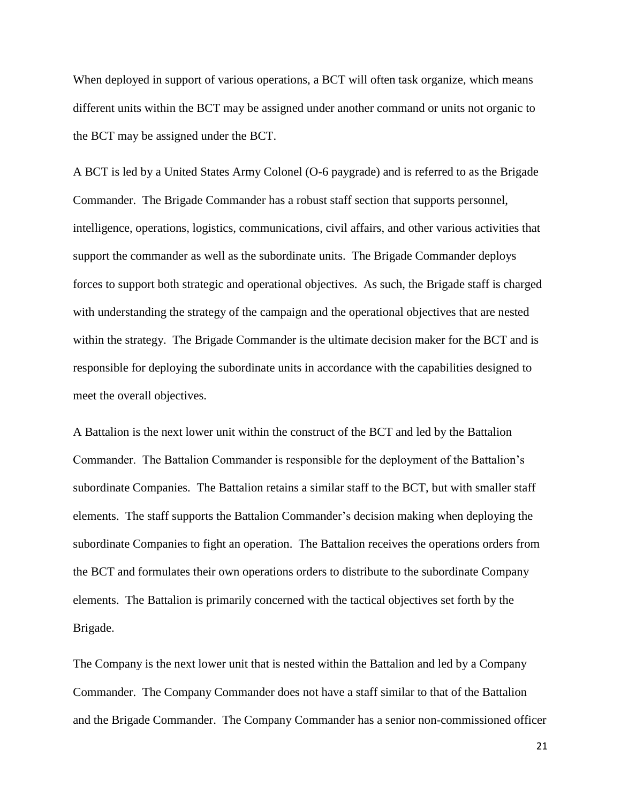When deployed in support of various operations, a BCT will often task organize, which means different units within the BCT may be assigned under another command or units not organic to the BCT may be assigned under the BCT.

A BCT is led by a United States Army Colonel (O-6 paygrade) and is referred to as the Brigade Commander. The Brigade Commander has a robust staff section that supports personnel, intelligence, operations, logistics, communications, civil affairs, and other various activities that support the commander as well as the subordinate units. The Brigade Commander deploys forces to support both strategic and operational objectives. As such, the Brigade staff is charged with understanding the strategy of the campaign and the operational objectives that are nested within the strategy. The Brigade Commander is the ultimate decision maker for the BCT and is responsible for deploying the subordinate units in accordance with the capabilities designed to meet the overall objectives.

A Battalion is the next lower unit within the construct of the BCT and led by the Battalion Commander. The Battalion Commander is responsible for the deployment of the Battalion's subordinate Companies. The Battalion retains a similar staff to the BCT, but with smaller staff elements. The staff supports the Battalion Commander's decision making when deploying the subordinate Companies to fight an operation. The Battalion receives the operations orders from the BCT and formulates their own operations orders to distribute to the subordinate Company elements. The Battalion is primarily concerned with the tactical objectives set forth by the Brigade.

The Company is the next lower unit that is nested within the Battalion and led by a Company Commander. The Company Commander does not have a staff similar to that of the Battalion and the Brigade Commander. The Company Commander has a senior non-commissioned officer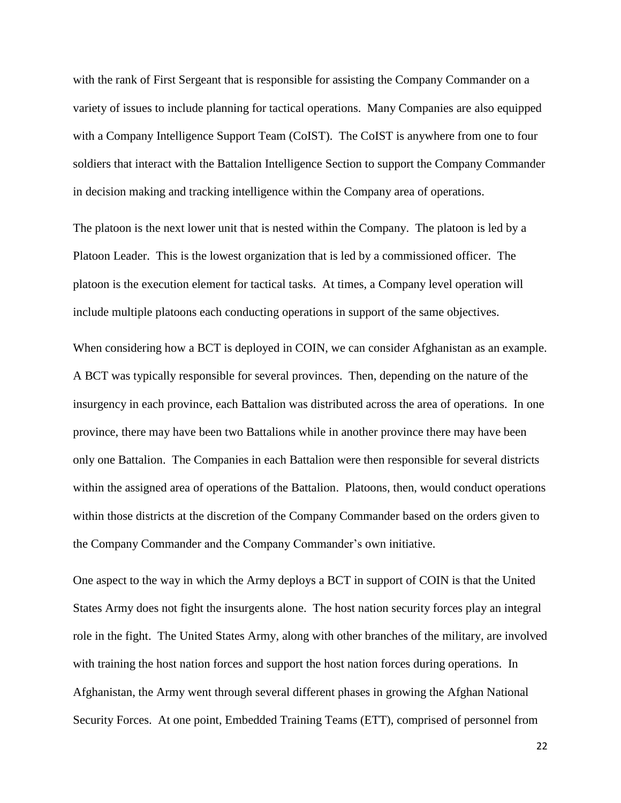with the rank of First Sergeant that is responsible for assisting the Company Commander on a variety of issues to include planning for tactical operations. Many Companies are also equipped with a Company Intelligence Support Team (CoIST). The CoIST is anywhere from one to four soldiers that interact with the Battalion Intelligence Section to support the Company Commander in decision making and tracking intelligence within the Company area of operations.

The platoon is the next lower unit that is nested within the Company. The platoon is led by a Platoon Leader. This is the lowest organization that is led by a commissioned officer. The platoon is the execution element for tactical tasks. At times, a Company level operation will include multiple platoons each conducting operations in support of the same objectives.

When considering how a BCT is deployed in COIN, we can consider Afghanistan as an example. A BCT was typically responsible for several provinces. Then, depending on the nature of the insurgency in each province, each Battalion was distributed across the area of operations. In one province, there may have been two Battalions while in another province there may have been only one Battalion. The Companies in each Battalion were then responsible for several districts within the assigned area of operations of the Battalion. Platoons, then, would conduct operations within those districts at the discretion of the Company Commander based on the orders given to the Company Commander and the Company Commander's own initiative.

One aspect to the way in which the Army deploys a BCT in support of COIN is that the United States Army does not fight the insurgents alone. The host nation security forces play an integral role in the fight. The United States Army, along with other branches of the military, are involved with training the host nation forces and support the host nation forces during operations. In Afghanistan, the Army went through several different phases in growing the Afghan National Security Forces. At one point, Embedded Training Teams (ETT), comprised of personnel from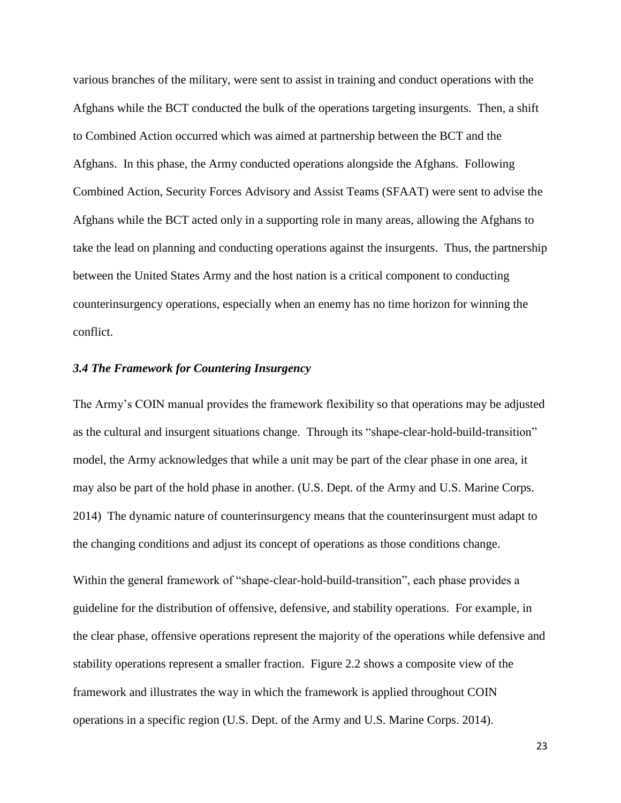various branches of the military, were sent to assist in training and conduct operations with the Afghans while the BCT conducted the bulk of the operations targeting insurgents. Then, a shift to Combined Action occurred which was aimed at partnership between the BCT and the Afghans. In this phase, the Army conducted operations alongside the Afghans. Following Combined Action, Security Forces Advisory and Assist Teams (SFAAT) were sent to advise the Afghans while the BCT acted only in a supporting role in many areas, allowing the Afghans to take the lead on planning and conducting operations against the insurgents. Thus, the partnership between the United States Army and the host nation is a critical component to conducting counterinsurgency operations, especially when an enemy has no time horizon for winning the conflict.

## <span id="page-23-0"></span>*3.4 The Framework for Countering Insurgency*

The Army's COIN manual provides the framework flexibility so that operations may be adjusted as the cultural and insurgent situations change. Through its "shape-clear-hold-build-transition" model, the Army acknowledges that while a unit may be part of the clear phase in one area, it may also be part of the hold phase in another. (U.S. Dept. of the Army and U.S. Marine Corps. 2014) The dynamic nature of counterinsurgency means that the counterinsurgent must adapt to the changing conditions and adjust its concept of operations as those conditions change.

Within the general framework of "shape-clear-hold-build-transition", each phase provides a guideline for the distribution of offensive, defensive, and stability operations. For example, in the clear phase, offensive operations represent the majority of the operations while defensive and stability operations represent a smaller fraction. Figure 2.2 shows a composite view of the framework and illustrates the way in which the framework is applied throughout COIN operations in a specific region (U.S. Dept. of the Army and U.S. Marine Corps. 2014).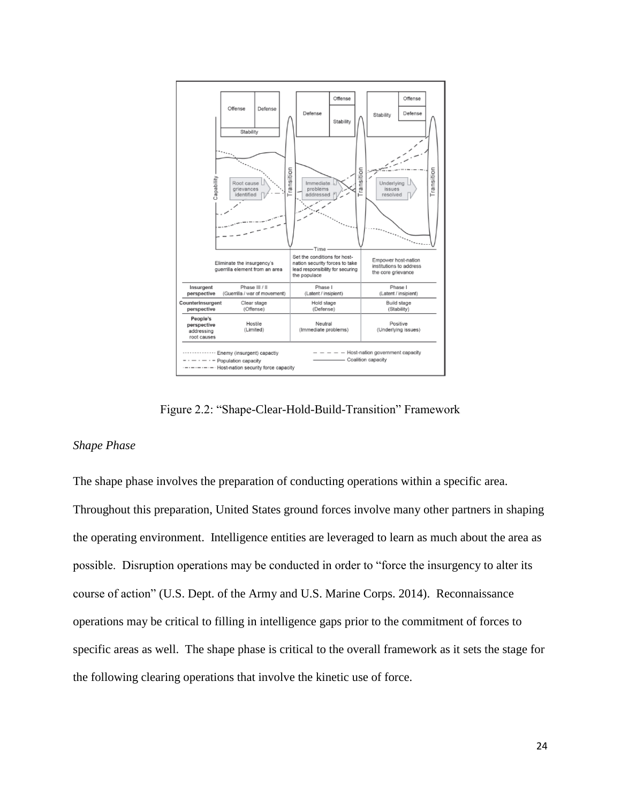

Figure 2.2: "Shape-Clear-Hold-Build-Transition" Framework

## <span id="page-24-0"></span>*Shape Phase*

The shape phase involves the preparation of conducting operations within a specific area. Throughout this preparation, United States ground forces involve many other partners in shaping the operating environment. Intelligence entities are leveraged to learn as much about the area as possible. Disruption operations may be conducted in order to "force the insurgency to alter its course of action" (U.S. Dept. of the Army and U.S. Marine Corps. 2014). Reconnaissance operations may be critical to filling in intelligence gaps prior to the commitment of forces to specific areas as well. The shape phase is critical to the overall framework as it sets the stage for the following clearing operations that involve the kinetic use of force.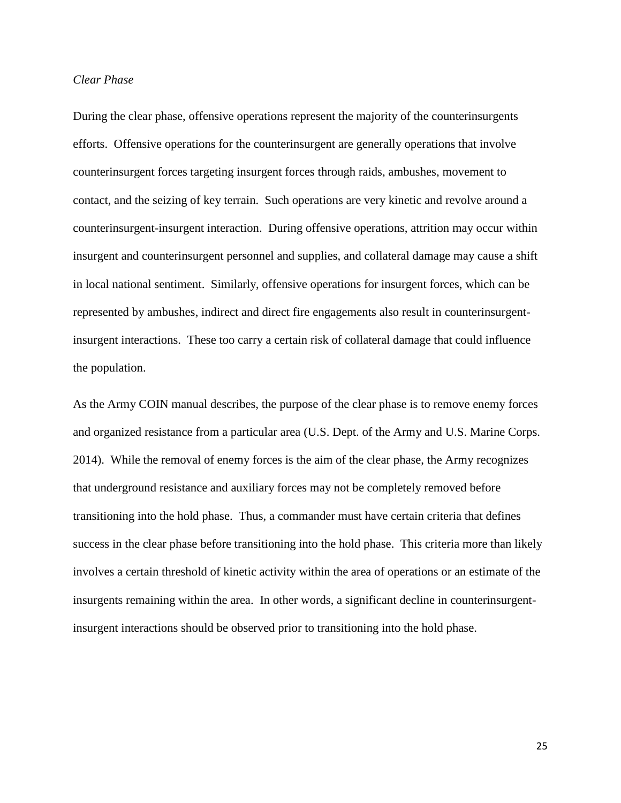## *Clear Phase*

During the clear phase, offensive operations represent the majority of the counterinsurgents efforts. Offensive operations for the counterinsurgent are generally operations that involve counterinsurgent forces targeting insurgent forces through raids, ambushes, movement to contact, and the seizing of key terrain. Such operations are very kinetic and revolve around a counterinsurgent-insurgent interaction. During offensive operations, attrition may occur within insurgent and counterinsurgent personnel and supplies, and collateral damage may cause a shift in local national sentiment. Similarly, offensive operations for insurgent forces, which can be represented by ambushes, indirect and direct fire engagements also result in counterinsurgentinsurgent interactions. These too carry a certain risk of collateral damage that could influence the population.

As the Army COIN manual describes, the purpose of the clear phase is to remove enemy forces and organized resistance from a particular area (U.S. Dept. of the Army and U.S. Marine Corps. 2014). While the removal of enemy forces is the aim of the clear phase, the Army recognizes that underground resistance and auxiliary forces may not be completely removed before transitioning into the hold phase. Thus, a commander must have certain criteria that defines success in the clear phase before transitioning into the hold phase. This criteria more than likely involves a certain threshold of kinetic activity within the area of operations or an estimate of the insurgents remaining within the area. In other words, a significant decline in counterinsurgentinsurgent interactions should be observed prior to transitioning into the hold phase.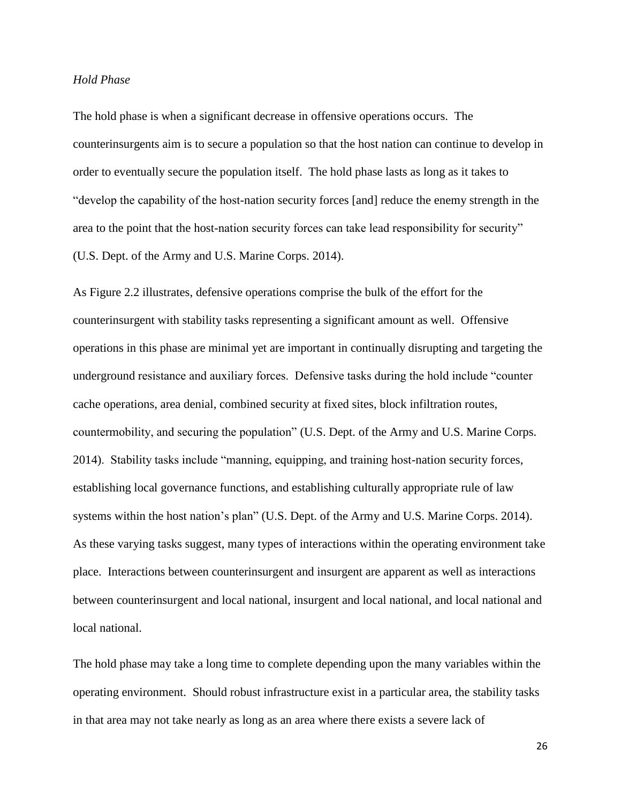#### *Hold Phase*

The hold phase is when a significant decrease in offensive operations occurs. The counterinsurgents aim is to secure a population so that the host nation can continue to develop in order to eventually secure the population itself. The hold phase lasts as long as it takes to "develop the capability of the host-nation security forces [and] reduce the enemy strength in the area to the point that the host-nation security forces can take lead responsibility for security" (U.S. Dept. of the Army and U.S. Marine Corps. 2014).

As Figure 2.2 illustrates, defensive operations comprise the bulk of the effort for the counterinsurgent with stability tasks representing a significant amount as well. Offensive operations in this phase are minimal yet are important in continually disrupting and targeting the underground resistance and auxiliary forces. Defensive tasks during the hold include "counter cache operations, area denial, combined security at fixed sites, block infiltration routes, countermobility, and securing the population" (U.S. Dept. of the Army and U.S. Marine Corps. 2014). Stability tasks include "manning, equipping, and training host-nation security forces, establishing local governance functions, and establishing culturally appropriate rule of law systems within the host nation's plan" (U.S. Dept. of the Army and U.S. Marine Corps. 2014). As these varying tasks suggest, many types of interactions within the operating environment take place. Interactions between counterinsurgent and insurgent are apparent as well as interactions between counterinsurgent and local national, insurgent and local national, and local national and local national.

The hold phase may take a long time to complete depending upon the many variables within the operating environment. Should robust infrastructure exist in a particular area, the stability tasks in that area may not take nearly as long as an area where there exists a severe lack of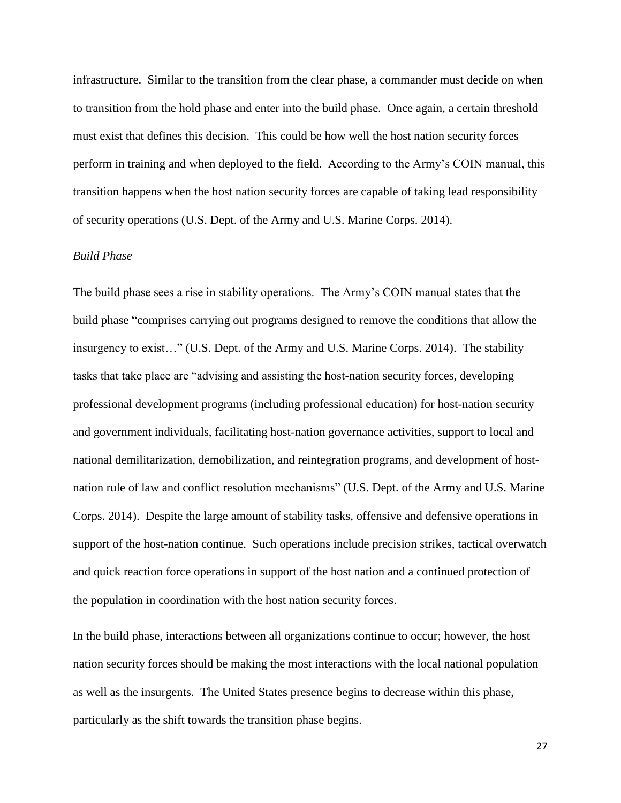infrastructure. Similar to the transition from the clear phase, a commander must decide on when to transition from the hold phase and enter into the build phase. Once again, a certain threshold must exist that defines this decision. This could be how well the host nation security forces perform in training and when deployed to the field. According to the Army's COIN manual, this transition happens when the host nation security forces are capable of taking lead responsibility of security operations (U.S. Dept. of the Army and U.S. Marine Corps. 2014).

## *Build Phase*

The build phase sees a rise in stability operations. The Army's COIN manual states that the build phase "comprises carrying out programs designed to remove the conditions that allow the insurgency to exist…" (U.S. Dept. of the Army and U.S. Marine Corps. 2014). The stability tasks that take place are "advising and assisting the host-nation security forces, developing professional development programs (including professional education) for host-nation security and government individuals, facilitating host-nation governance activities, support to local and national demilitarization, demobilization, and reintegration programs, and development of hostnation rule of law and conflict resolution mechanisms" (U.S. Dept. of the Army and U.S. Marine Corps. 2014). Despite the large amount of stability tasks, offensive and defensive operations in support of the host-nation continue. Such operations include precision strikes, tactical overwatch and quick reaction force operations in support of the host nation and a continued protection of the population in coordination with the host nation security forces.

In the build phase, interactions between all organizations continue to occur; however, the host nation security forces should be making the most interactions with the local national population as well as the insurgents. The United States presence begins to decrease within this phase, particularly as the shift towards the transition phase begins.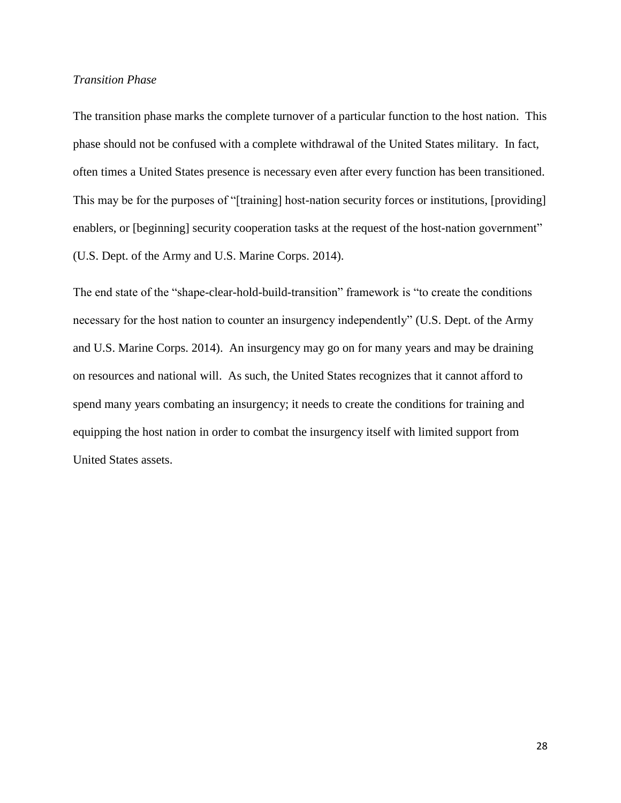## *Transition Phase*

The transition phase marks the complete turnover of a particular function to the host nation. This phase should not be confused with a complete withdrawal of the United States military. In fact, often times a United States presence is necessary even after every function has been transitioned. This may be for the purposes of "[training] host-nation security forces or institutions, [providing] enablers, or [beginning] security cooperation tasks at the request of the host-nation government" (U.S. Dept. of the Army and U.S. Marine Corps. 2014).

<span id="page-28-0"></span>The end state of the "shape-clear-hold-build-transition" framework is "to create the conditions necessary for the host nation to counter an insurgency independently" (U.S. Dept. of the Army and U.S. Marine Corps. 2014). An insurgency may go on for many years and may be draining on resources and national will. As such, the United States recognizes that it cannot afford to spend many years combating an insurgency; it needs to create the conditions for training and equipping the host nation in order to combat the insurgency itself with limited support from United States assets.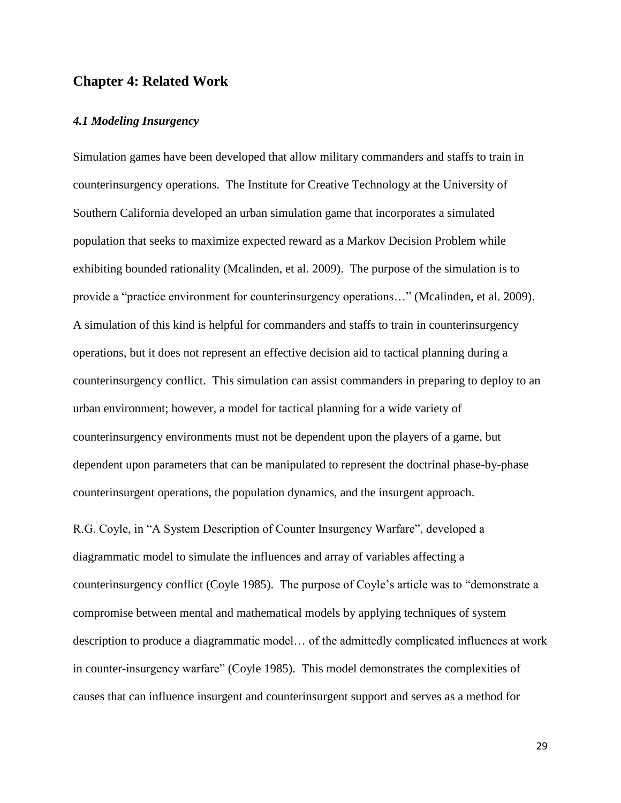## **Chapter 4: Related Work**

## <span id="page-29-0"></span>*4.1 Modeling Insurgency*

Simulation games have been developed that allow military commanders and staffs to train in counterinsurgency operations. The Institute for Creative Technology at the University of Southern California developed an urban simulation game that incorporates a simulated population that seeks to maximize expected reward as a Markov Decision Problem while exhibiting bounded rationality (Mcalinden, et al. 2009). The purpose of the simulation is to provide a "practice environment for counterinsurgency operations…" (Mcalinden, et al. 2009). A simulation of this kind is helpful for commanders and staffs to train in counterinsurgency operations, but it does not represent an effective decision aid to tactical planning during a counterinsurgency conflict. This simulation can assist commanders in preparing to deploy to an urban environment; however, a model for tactical planning for a wide variety of counterinsurgency environments must not be dependent upon the players of a game, but dependent upon parameters that can be manipulated to represent the doctrinal phase-by-phase counterinsurgent operations, the population dynamics, and the insurgent approach.

R.G. Coyle, in "A System Description of Counter Insurgency Warfare", developed a diagrammatic model to simulate the influences and array of variables affecting a counterinsurgency conflict (Coyle 1985). The purpose of Coyle's article was to "demonstrate a compromise between mental and mathematical models by applying techniques of system description to produce a diagrammatic model… of the admittedly complicated influences at work in counter-insurgency warfare" (Coyle 1985). This model demonstrates the complexities of causes that can influence insurgent and counterinsurgent support and serves as a method for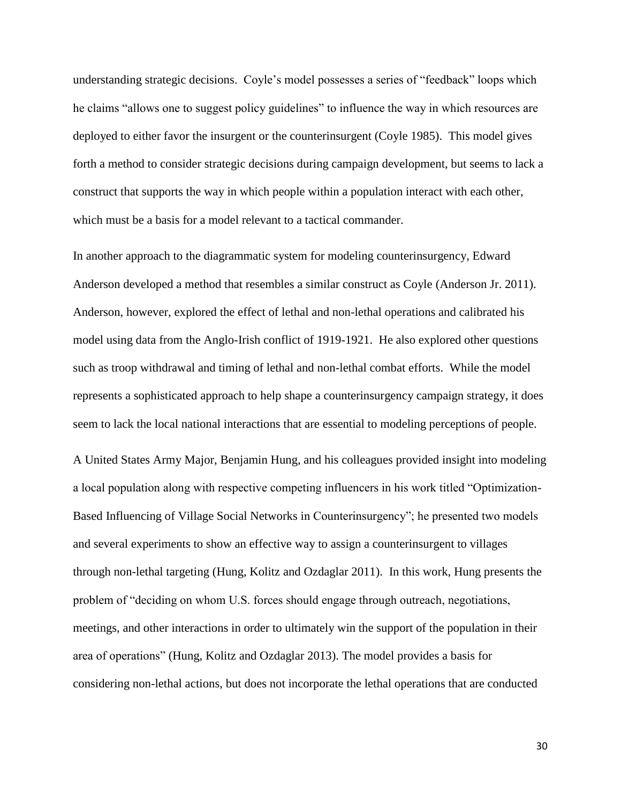understanding strategic decisions. Coyle's model possesses a series of "feedback" loops which he claims "allows one to suggest policy guidelines" to influence the way in which resources are deployed to either favor the insurgent or the counterinsurgent (Coyle 1985). This model gives forth a method to consider strategic decisions during campaign development, but seems to lack a construct that supports the way in which people within a population interact with each other, which must be a basis for a model relevant to a tactical commander.

In another approach to the diagrammatic system for modeling counterinsurgency, Edward Anderson developed a method that resembles a similar construct as Coyle (Anderson Jr. 2011). Anderson, however, explored the effect of lethal and non-lethal operations and calibrated his model using data from the Anglo-Irish conflict of 1919-1921. He also explored other questions such as troop withdrawal and timing of lethal and non-lethal combat efforts. While the model represents a sophisticated approach to help shape a counterinsurgency campaign strategy, it does seem to lack the local national interactions that are essential to modeling perceptions of people.

A United States Army Major, Benjamin Hung, and his colleagues provided insight into modeling a local population along with respective competing influencers in his work titled "Optimization-Based Influencing of Village Social Networks in Counterinsurgency"; he presented two models and several experiments to show an effective way to assign a counterinsurgent to villages through non-lethal targeting (Hung, Kolitz and Ozdaglar 2011). In this work, Hung presents the problem of "deciding on whom U.S. forces should engage through outreach, negotiations, meetings, and other interactions in order to ultimately win the support of the population in their area of operations" (Hung, Kolitz and Ozdaglar 2013). The model provides a basis for considering non-lethal actions, but does not incorporate the lethal operations that are conducted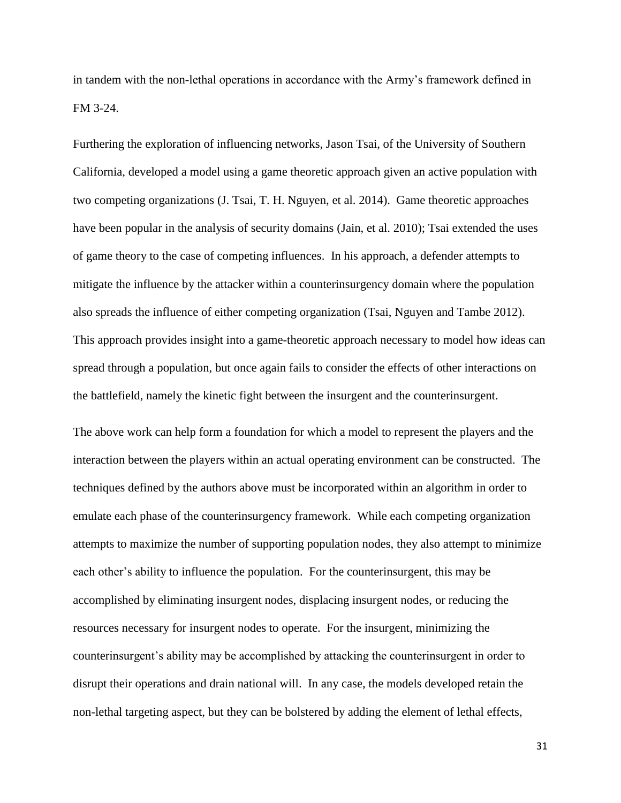in tandem with the non-lethal operations in accordance with the Army's framework defined in FM 3-24.

Furthering the exploration of influencing networks, Jason Tsai, of the University of Southern California, developed a model using a game theoretic approach given an active population with two competing organizations (J. Tsai, T. H. Nguyen, et al. 2014). Game theoretic approaches have been popular in the analysis of security domains (Jain, et al. 2010); Tsai extended the uses of game theory to the case of competing influences. In his approach, a defender attempts to mitigate the influence by the attacker within a counterinsurgency domain where the population also spreads the influence of either competing organization (Tsai, Nguyen and Tambe 2012). This approach provides insight into a game-theoretic approach necessary to model how ideas can spread through a population, but once again fails to consider the effects of other interactions on the battlefield, namely the kinetic fight between the insurgent and the counterinsurgent.

The above work can help form a foundation for which a model to represent the players and the interaction between the players within an actual operating environment can be constructed. The techniques defined by the authors above must be incorporated within an algorithm in order to emulate each phase of the counterinsurgency framework. While each competing organization attempts to maximize the number of supporting population nodes, they also attempt to minimize each other's ability to influence the population. For the counterinsurgent, this may be accomplished by eliminating insurgent nodes, displacing insurgent nodes, or reducing the resources necessary for insurgent nodes to operate. For the insurgent, minimizing the counterinsurgent's ability may be accomplished by attacking the counterinsurgent in order to disrupt their operations and drain national will. In any case, the models developed retain the non-lethal targeting aspect, but they can be bolstered by adding the element of lethal effects,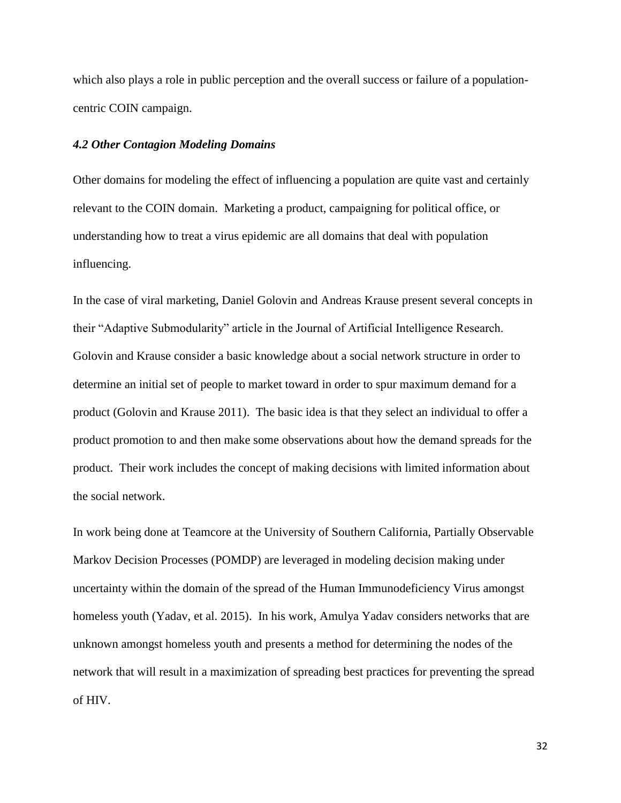which also plays a role in public perception and the overall success or failure of a populationcentric COIN campaign.

## <span id="page-32-0"></span>*4.2 Other Contagion Modeling Domains*

Other domains for modeling the effect of influencing a population are quite vast and certainly relevant to the COIN domain. Marketing a product, campaigning for political office, or understanding how to treat a virus epidemic are all domains that deal with population influencing.

In the case of viral marketing, Daniel Golovin and Andreas Krause present several concepts in their "Adaptive Submodularity" article in the Journal of Artificial Intelligence Research. Golovin and Krause consider a basic knowledge about a social network structure in order to determine an initial set of people to market toward in order to spur maximum demand for a product (Golovin and Krause 2011). The basic idea is that they select an individual to offer a product promotion to and then make some observations about how the demand spreads for the product. Their work includes the concept of making decisions with limited information about the social network.

In work being done at Teamcore at the University of Southern California, Partially Observable Markov Decision Processes (POMDP) are leveraged in modeling decision making under uncertainty within the domain of the spread of the Human Immunodeficiency Virus amongst homeless youth (Yadav, et al. 2015). In his work, Amulya Yadav considers networks that are unknown amongst homeless youth and presents a method for determining the nodes of the network that will result in a maximization of spreading best practices for preventing the spread of HIV.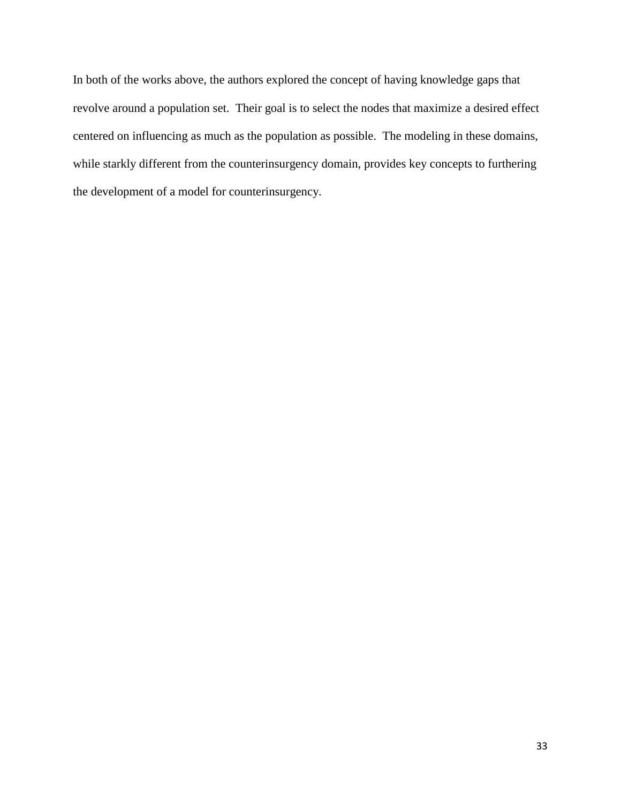<span id="page-33-0"></span>In both of the works above, the authors explored the concept of having knowledge gaps that revolve around a population set. Their goal is to select the nodes that maximize a desired effect centered on influencing as much as the population as possible. The modeling in these domains, while starkly different from the counterinsurgency domain, provides key concepts to furthering the development of a model for counterinsurgency.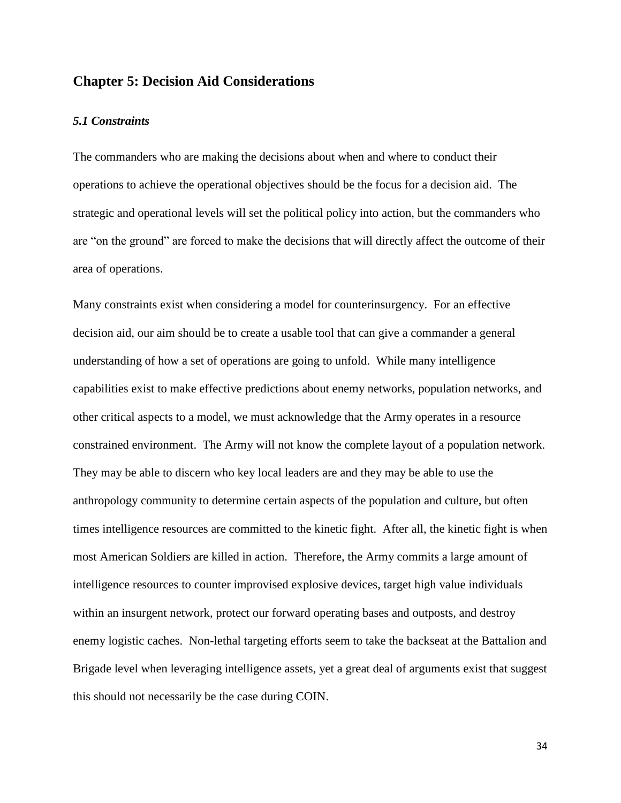## **Chapter 5: Decision Aid Considerations**

#### <span id="page-34-0"></span>*5.1 Constraints*

The commanders who are making the decisions about when and where to conduct their operations to achieve the operational objectives should be the focus for a decision aid. The strategic and operational levels will set the political policy into action, but the commanders who are "on the ground" are forced to make the decisions that will directly affect the outcome of their area of operations.

Many constraints exist when considering a model for counterinsurgency. For an effective decision aid, our aim should be to create a usable tool that can give a commander a general understanding of how a set of operations are going to unfold. While many intelligence capabilities exist to make effective predictions about enemy networks, population networks, and other critical aspects to a model, we must acknowledge that the Army operates in a resource constrained environment. The Army will not know the complete layout of a population network. They may be able to discern who key local leaders are and they may be able to use the anthropology community to determine certain aspects of the population and culture, but often times intelligence resources are committed to the kinetic fight. After all, the kinetic fight is when most American Soldiers are killed in action. Therefore, the Army commits a large amount of intelligence resources to counter improvised explosive devices, target high value individuals within an insurgent network, protect our forward operating bases and outposts, and destroy enemy logistic caches. Non-lethal targeting efforts seem to take the backseat at the Battalion and Brigade level when leveraging intelligence assets, yet a great deal of arguments exist that suggest this should not necessarily be the case during COIN.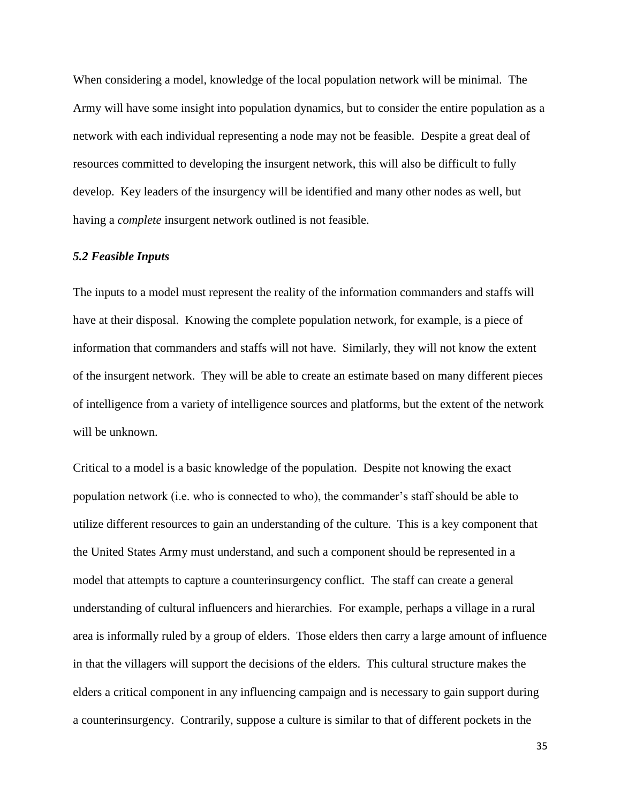When considering a model, knowledge of the local population network will be minimal. The Army will have some insight into population dynamics, but to consider the entire population as a network with each individual representing a node may not be feasible. Despite a great deal of resources committed to developing the insurgent network, this will also be difficult to fully develop. Key leaders of the insurgency will be identified and many other nodes as well, but having a *complete* insurgent network outlined is not feasible.

#### <span id="page-35-0"></span>*5.2 Feasible Inputs*

The inputs to a model must represent the reality of the information commanders and staffs will have at their disposal. Knowing the complete population network, for example, is a piece of information that commanders and staffs will not have. Similarly, they will not know the extent of the insurgent network. They will be able to create an estimate based on many different pieces of intelligence from a variety of intelligence sources and platforms, but the extent of the network will be unknown.

Critical to a model is a basic knowledge of the population. Despite not knowing the exact population network (i.e. who is connected to who), the commander's staff should be able to utilize different resources to gain an understanding of the culture. This is a key component that the United States Army must understand, and such a component should be represented in a model that attempts to capture a counterinsurgency conflict. The staff can create a general understanding of cultural influencers and hierarchies. For example, perhaps a village in a rural area is informally ruled by a group of elders. Those elders then carry a large amount of influence in that the villagers will support the decisions of the elders. This cultural structure makes the elders a critical component in any influencing campaign and is necessary to gain support during a counterinsurgency. Contrarily, suppose a culture is similar to that of different pockets in the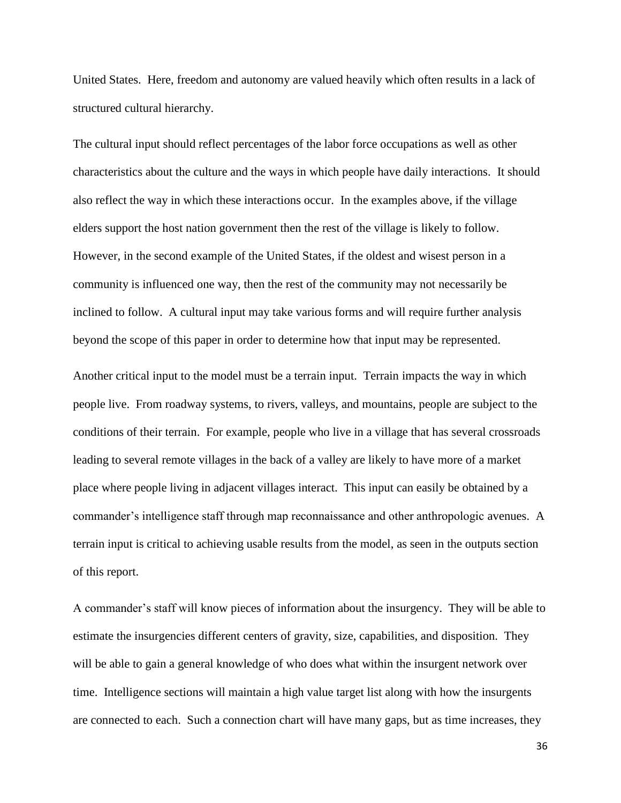United States. Here, freedom and autonomy are valued heavily which often results in a lack of structured cultural hierarchy.

The cultural input should reflect percentages of the labor force occupations as well as other characteristics about the culture and the ways in which people have daily interactions. It should also reflect the way in which these interactions occur. In the examples above, if the village elders support the host nation government then the rest of the village is likely to follow. However, in the second example of the United States, if the oldest and wisest person in a community is influenced one way, then the rest of the community may not necessarily be inclined to follow. A cultural input may take various forms and will require further analysis beyond the scope of this paper in order to determine how that input may be represented.

Another critical input to the model must be a terrain input. Terrain impacts the way in which people live. From roadway systems, to rivers, valleys, and mountains, people are subject to the conditions of their terrain. For example, people who live in a village that has several crossroads leading to several remote villages in the back of a valley are likely to have more of a market place where people living in adjacent villages interact. This input can easily be obtained by a commander's intelligence staff through map reconnaissance and other anthropologic avenues. A terrain input is critical to achieving usable results from the model, as seen in the outputs section of this report.

A commander's staff will know pieces of information about the insurgency. They will be able to estimate the insurgencies different centers of gravity, size, capabilities, and disposition. They will be able to gain a general knowledge of who does what within the insurgent network over time. Intelligence sections will maintain a high value target list along with how the insurgents are connected to each. Such a connection chart will have many gaps, but as time increases, they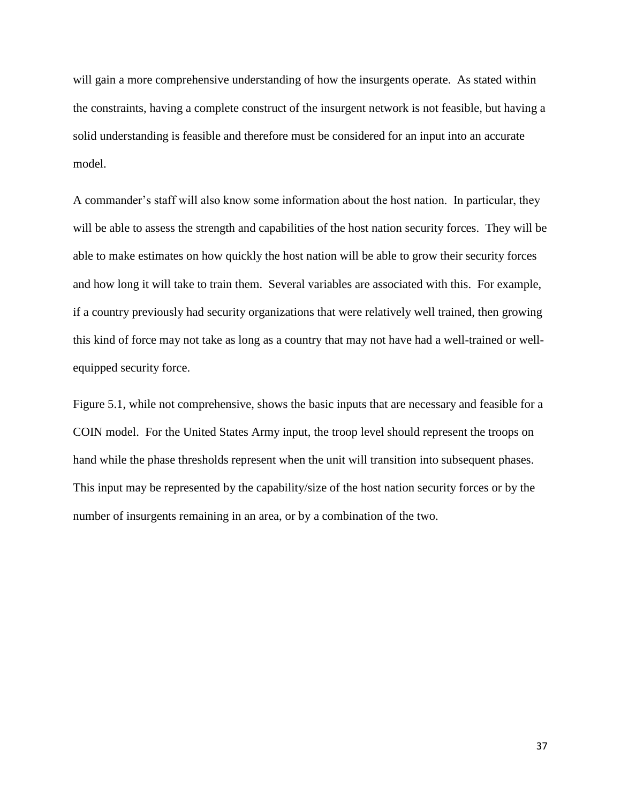will gain a more comprehensive understanding of how the insurgents operate. As stated within the constraints, having a complete construct of the insurgent network is not feasible, but having a solid understanding is feasible and therefore must be considered for an input into an accurate model.

A commander's staff will also know some information about the host nation. In particular, they will be able to assess the strength and capabilities of the host nation security forces. They will be able to make estimates on how quickly the host nation will be able to grow their security forces and how long it will take to train them. Several variables are associated with this. For example, if a country previously had security organizations that were relatively well trained, then growing this kind of force may not take as long as a country that may not have had a well-trained or wellequipped security force.

Figure 5.1, while not comprehensive, shows the basic inputs that are necessary and feasible for a COIN model. For the United States Army input, the troop level should represent the troops on hand while the phase thresholds represent when the unit will transition into subsequent phases. This input may be represented by the capability/size of the host nation security forces or by the number of insurgents remaining in an area, or by a combination of the two.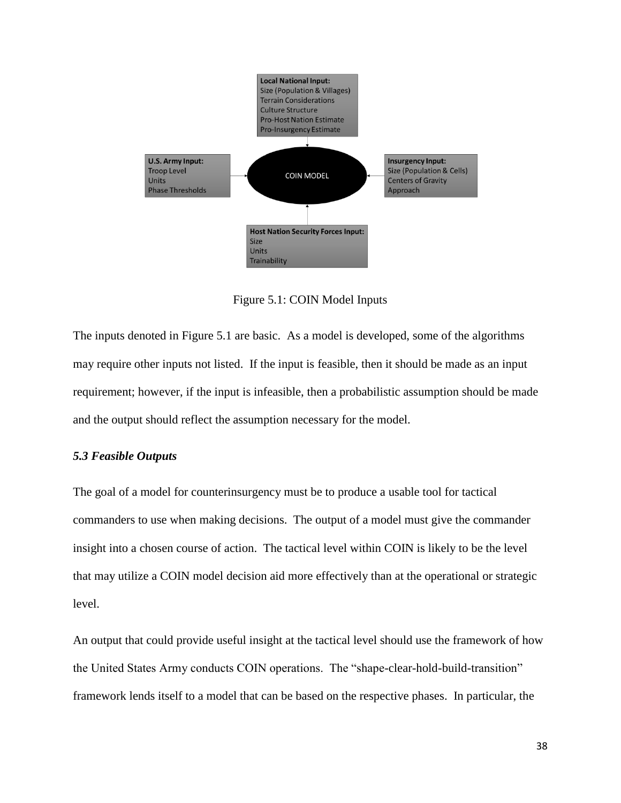

Figure 5.1: COIN Model Inputs

<span id="page-38-1"></span>The inputs denoted in Figure 5.1 are basic. As a model is developed, some of the algorithms may require other inputs not listed. If the input is feasible, then it should be made as an input requirement; however, if the input is infeasible, then a probabilistic assumption should be made and the output should reflect the assumption necessary for the model.

## <span id="page-38-0"></span>*5.3 Feasible Outputs*

The goal of a model for counterinsurgency must be to produce a usable tool for tactical commanders to use when making decisions. The output of a model must give the commander insight into a chosen course of action. The tactical level within COIN is likely to be the level that may utilize a COIN model decision aid more effectively than at the operational or strategic level.

An output that could provide useful insight at the tactical level should use the framework of how the United States Army conducts COIN operations. The "shape-clear-hold-build-transition" framework lends itself to a model that can be based on the respective phases. In particular, the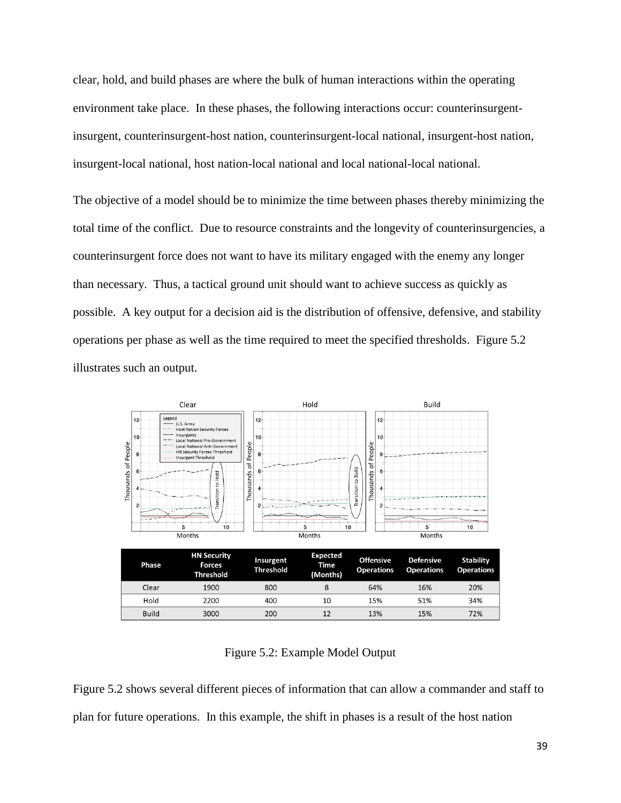clear, hold, and build phases are where the bulk of human interactions within the operating environment take place. In these phases, the following interactions occur: counterinsurgentinsurgent, counterinsurgent-host nation, counterinsurgent-local national, insurgent-host nation, insurgent-local national, host nation-local national and local national-local national.

The objective of a model should be to minimize the time between phases thereby minimizing the total time of the conflict. Due to resource constraints and the longevity of counterinsurgencies, a counterinsurgent force does not want to have its military engaged with the enemy any longer than necessary. Thus, a tactical ground unit should want to achieve success as quickly as possible. A key output for a decision aid is the distribution of offensive, defensive, and stability operations per phase as well as the time required to meet the specified thresholds. Figure 5.2 illustrates such an output.



Figure 5.2: Example Model Output

<span id="page-39-0"></span>Figure 5.2 shows several different pieces of information that can allow a commander and staff to plan for future operations. In this example, the shift in phases is a result of the host nation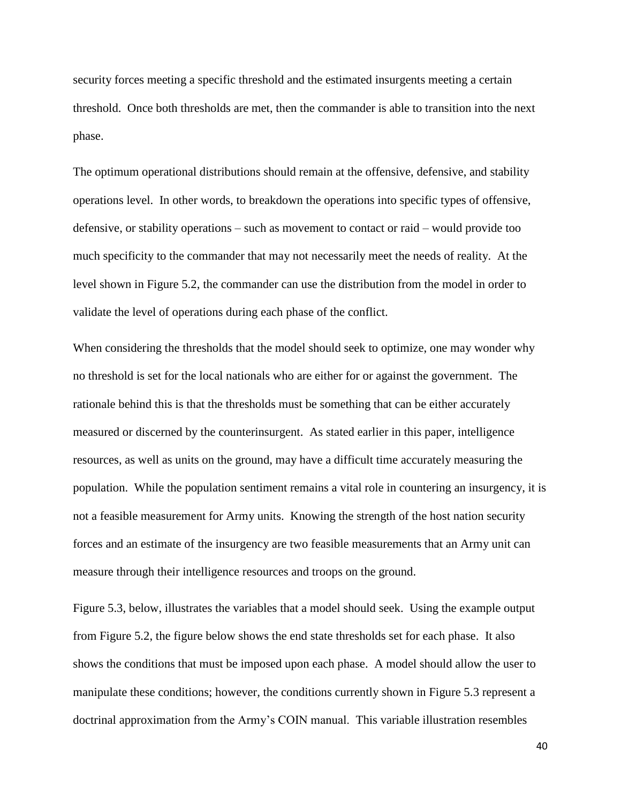security forces meeting a specific threshold and the estimated insurgents meeting a certain threshold. Once both thresholds are met, then the commander is able to transition into the next phase.

The optimum operational distributions should remain at the offensive, defensive, and stability operations level. In other words, to breakdown the operations into specific types of offensive, defensive, or stability operations – such as movement to contact or raid – would provide too much specificity to the commander that may not necessarily meet the needs of reality. At the level shown in Figure 5.2, the commander can use the distribution from the model in order to validate the level of operations during each phase of the conflict.

When considering the thresholds that the model should seek to optimize, one may wonder why no threshold is set for the local nationals who are either for or against the government. The rationale behind this is that the thresholds must be something that can be either accurately measured or discerned by the counterinsurgent. As stated earlier in this paper, intelligence resources, as well as units on the ground, may have a difficult time accurately measuring the population. While the population sentiment remains a vital role in countering an insurgency, it is not a feasible measurement for Army units. Knowing the strength of the host nation security forces and an estimate of the insurgency are two feasible measurements that an Army unit can measure through their intelligence resources and troops on the ground.

Figure 5.3, below, illustrates the variables that a model should seek. Using the example output from Figure 5.2, the figure below shows the end state thresholds set for each phase. It also shows the conditions that must be imposed upon each phase. A model should allow the user to manipulate these conditions; however, the conditions currently shown in Figure 5.3 represent a doctrinal approximation from the Army's COIN manual. This variable illustration resembles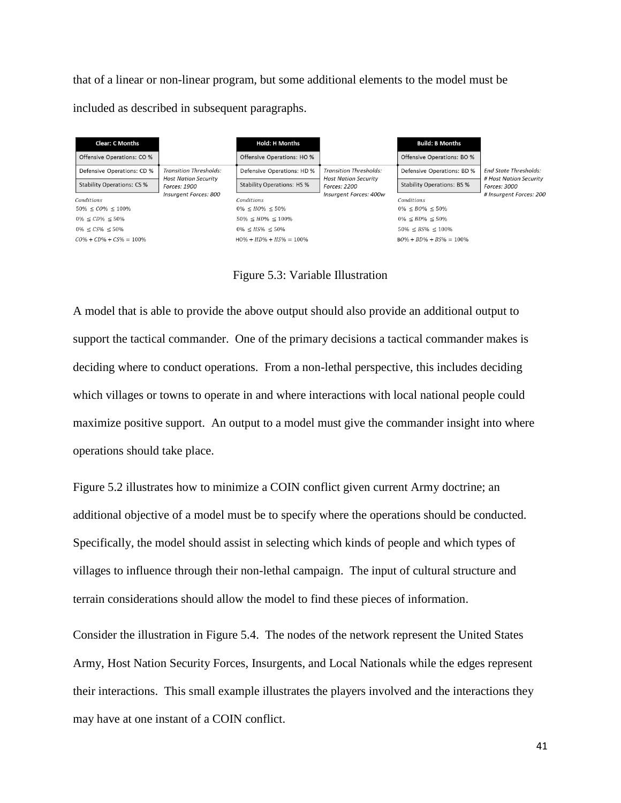that of a linear or non-linear program, but some additional elements to the model must be included as described in subsequent paragraphs.

| <b>Clear: C Months</b><br>Offensive Operations: CO %<br>Defensive Operations: CD %<br><b>Stability Operations: CS %</b><br>Conditions<br>$50\% \le CO\% \le 100\%$<br>$0\% \le CD\% \le 50\%$<br>$0\% \leq CS\% \leq 50\%$<br>$C0\% + CD\% + CS\% = 100\%$ | <b>Transition Thresholds:</b><br><b>Host Nation Security</b><br>Forces: 1900<br>Insurgent Forces: 800 | <b>Hold: H Months</b><br>Offensive Operations: HO %<br>Defensive Operations: HD %<br><b>Stability Operations: HS %</b><br>Conditions<br>$0\% \leq HO\% \leq 50\%$<br>$50\% \leq HD\% \leq 100\%$<br>$0\% \leq H.S\% \leq 50\%$<br>$H0\% + HD\% + HS\% = 100\%$ | Transition Thresholds:<br><b>Host Nation Security</b><br>Forces: 2200<br>Insurgent Forces: 400w | <b>Build: B Months</b><br>Offensive Operations: BO %<br>Defensive Operations: BD %<br><b>Stability Operations: BS %</b><br>Conditions<br>$0\% \leq B0\% \leq 50\%$<br>$0\% \le BD\% \le 50\%$<br>$50\% \leq BS\% \leq 100\%$<br>$B0\% + BD\% + BS\% = 100\%$ | <b>End State Thresholds:</b><br># Host Nation Security<br>Forces: 3000<br># Insurgent Forces: 200 |
|------------------------------------------------------------------------------------------------------------------------------------------------------------------------------------------------------------------------------------------------------------|-------------------------------------------------------------------------------------------------------|----------------------------------------------------------------------------------------------------------------------------------------------------------------------------------------------------------------------------------------------------------------|-------------------------------------------------------------------------------------------------|--------------------------------------------------------------------------------------------------------------------------------------------------------------------------------------------------------------------------------------------------------------|---------------------------------------------------------------------------------------------------|
|------------------------------------------------------------------------------------------------------------------------------------------------------------------------------------------------------------------------------------------------------------|-------------------------------------------------------------------------------------------------------|----------------------------------------------------------------------------------------------------------------------------------------------------------------------------------------------------------------------------------------------------------------|-------------------------------------------------------------------------------------------------|--------------------------------------------------------------------------------------------------------------------------------------------------------------------------------------------------------------------------------------------------------------|---------------------------------------------------------------------------------------------------|



<span id="page-41-0"></span>A model that is able to provide the above output should also provide an additional output to support the tactical commander. One of the primary decisions a tactical commander makes is deciding where to conduct operations. From a non-lethal perspective, this includes deciding which villages or towns to operate in and where interactions with local national people could maximize positive support. An output to a model must give the commander insight into where operations should take place.

Figure 5.2 illustrates how to minimize a COIN conflict given current Army doctrine; an additional objective of a model must be to specify where the operations should be conducted. Specifically, the model should assist in selecting which kinds of people and which types of villages to influence through their non-lethal campaign. The input of cultural structure and terrain considerations should allow the model to find these pieces of information.

Consider the illustration in Figure 5.4. The nodes of the network represent the United States Army, Host Nation Security Forces, Insurgents, and Local Nationals while the edges represent their interactions. This small example illustrates the players involved and the interactions they may have at one instant of a COIN conflict.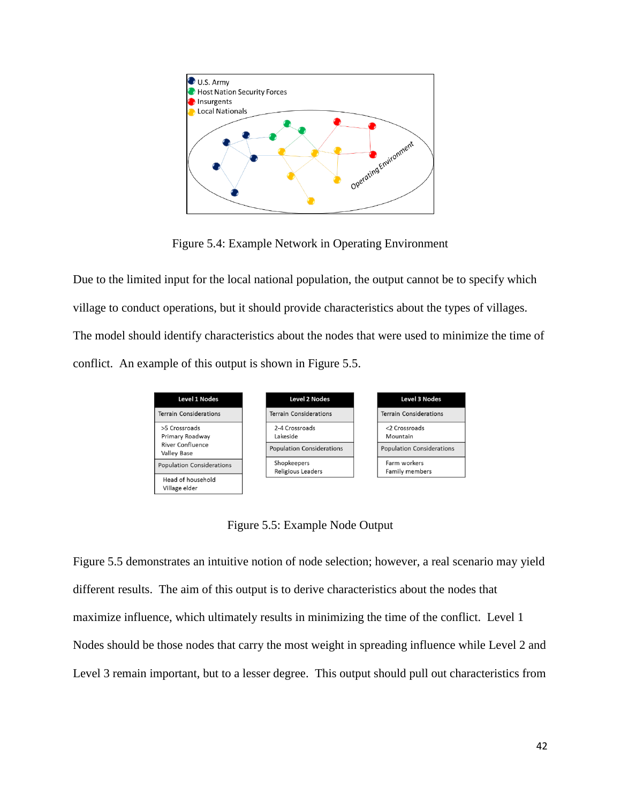

Figure 5.4: Example Network in Operating Environment

<span id="page-42-0"></span>Due to the limited input for the local national population, the output cannot be to specify which village to conduct operations, but it should provide characteristics about the types of villages. The model should identify characteristics about the nodes that were used to minimize the time of conflict. An example of this output is shown in Figure 5.5.



Figure 5.5: Example Node Output

<span id="page-42-1"></span>Figure 5.5 demonstrates an intuitive notion of node selection; however, a real scenario may yield different results. The aim of this output is to derive characteristics about the nodes that maximize influence, which ultimately results in minimizing the time of the conflict. Level 1 Nodes should be those nodes that carry the most weight in spreading influence while Level 2 and Level 3 remain important, but to a lesser degree. This output should pull out characteristics from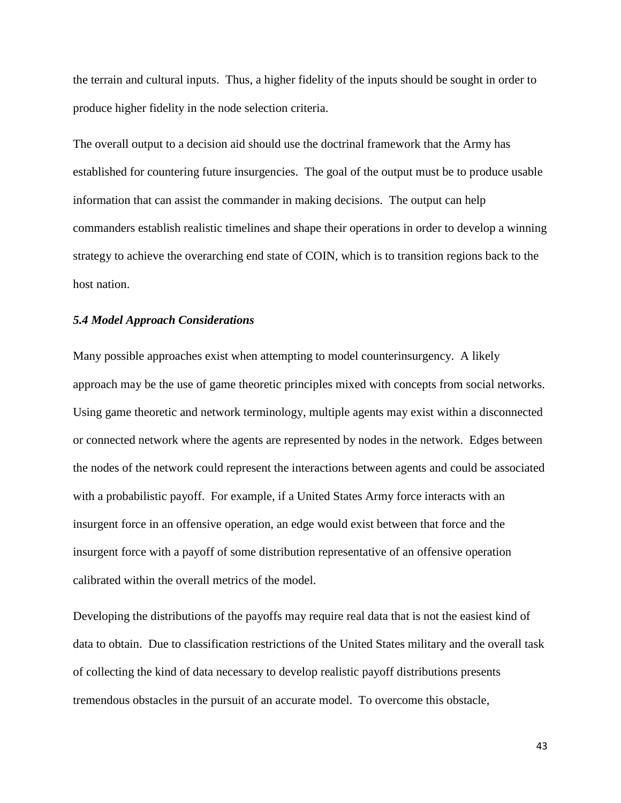the terrain and cultural inputs. Thus, a higher fidelity of the inputs should be sought in order to produce higher fidelity in the node selection criteria.

The overall output to a decision aid should use the doctrinal framework that the Army has established for countering future insurgencies. The goal of the output must be to produce usable information that can assist the commander in making decisions. The output can help commanders establish realistic timelines and shape their operations in order to develop a winning strategy to achieve the overarching end state of COIN, which is to transition regions back to the host nation.

## <span id="page-43-0"></span>*5.4 Model Approach Considerations*

Many possible approaches exist when attempting to model counterinsurgency. A likely approach may be the use of game theoretic principles mixed with concepts from social networks. Using game theoretic and network terminology, multiple agents may exist within a disconnected or connected network where the agents are represented by nodes in the network. Edges between the nodes of the network could represent the interactions between agents and could be associated with a probabilistic payoff. For example, if a United States Army force interacts with an insurgent force in an offensive operation, an edge would exist between that force and the insurgent force with a payoff of some distribution representative of an offensive operation calibrated within the overall metrics of the model.

Developing the distributions of the payoffs may require real data that is not the easiest kind of data to obtain. Due to classification restrictions of the United States military and the overall task of collecting the kind of data necessary to develop realistic payoff distributions presents tremendous obstacles in the pursuit of an accurate model. To overcome this obstacle,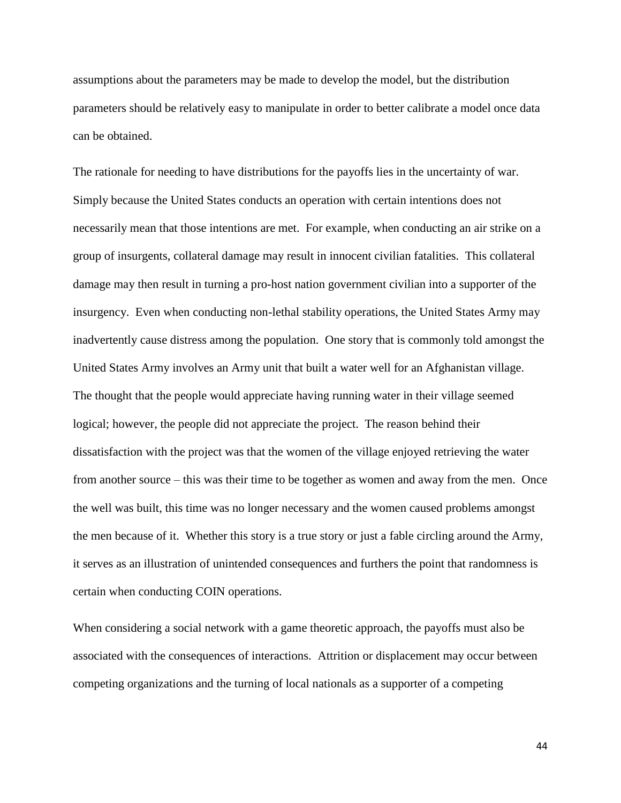assumptions about the parameters may be made to develop the model, but the distribution parameters should be relatively easy to manipulate in order to better calibrate a model once data can be obtained.

The rationale for needing to have distributions for the payoffs lies in the uncertainty of war. Simply because the United States conducts an operation with certain intentions does not necessarily mean that those intentions are met. For example, when conducting an air strike on a group of insurgents, collateral damage may result in innocent civilian fatalities. This collateral damage may then result in turning a pro-host nation government civilian into a supporter of the insurgency. Even when conducting non-lethal stability operations, the United States Army may inadvertently cause distress among the population. One story that is commonly told amongst the United States Army involves an Army unit that built a water well for an Afghanistan village. The thought that the people would appreciate having running water in their village seemed logical; however, the people did not appreciate the project. The reason behind their dissatisfaction with the project was that the women of the village enjoyed retrieving the water from another source – this was their time to be together as women and away from the men. Once the well was built, this time was no longer necessary and the women caused problems amongst the men because of it. Whether this story is a true story or just a fable circling around the Army, it serves as an illustration of unintended consequences and furthers the point that randomness is certain when conducting COIN operations.

When considering a social network with a game theoretic approach, the payoffs must also be associated with the consequences of interactions. Attrition or displacement may occur between competing organizations and the turning of local nationals as a supporter of a competing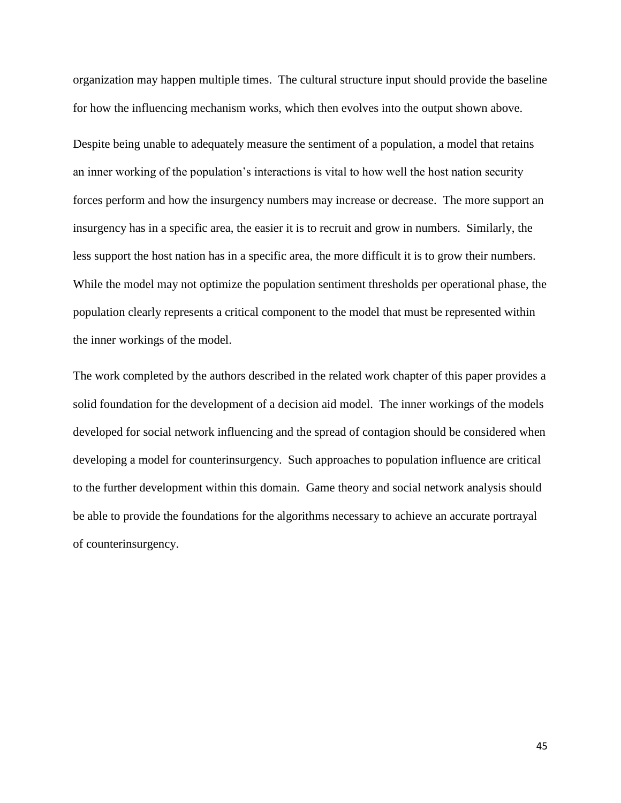organization may happen multiple times. The cultural structure input should provide the baseline for how the influencing mechanism works, which then evolves into the output shown above.

Despite being unable to adequately measure the sentiment of a population, a model that retains an inner working of the population's interactions is vital to how well the host nation security forces perform and how the insurgency numbers may increase or decrease. The more support an insurgency has in a specific area, the easier it is to recruit and grow in numbers. Similarly, the less support the host nation has in a specific area, the more difficult it is to grow their numbers. While the model may not optimize the population sentiment thresholds per operational phase, the population clearly represents a critical component to the model that must be represented within the inner workings of the model.

<span id="page-45-0"></span>The work completed by the authors described in the related work chapter of this paper provides a solid foundation for the development of a decision aid model. The inner workings of the models developed for social network influencing and the spread of contagion should be considered when developing a model for counterinsurgency. Such approaches to population influence are critical to the further development within this domain. Game theory and social network analysis should be able to provide the foundations for the algorithms necessary to achieve an accurate portrayal of counterinsurgency.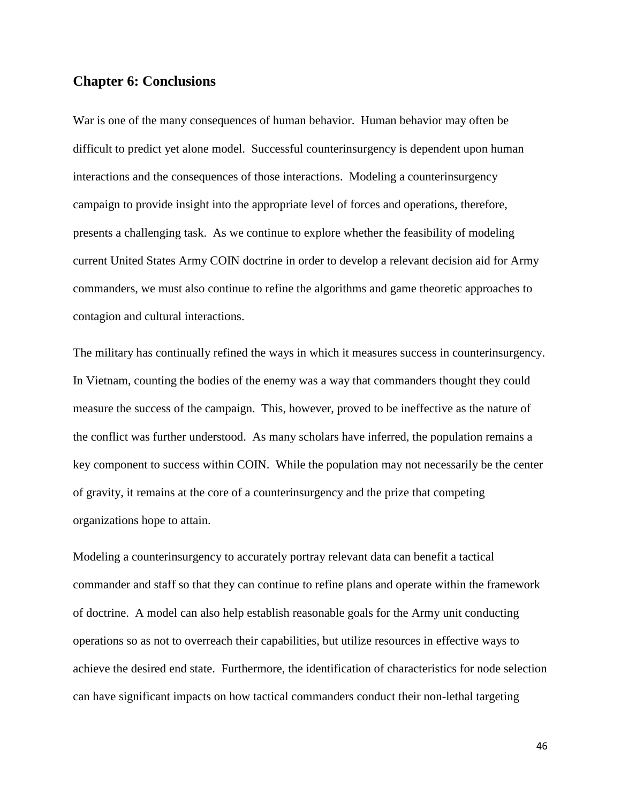# **Chapter 6: Conclusions**

War is one of the many consequences of human behavior. Human behavior may often be difficult to predict yet alone model. Successful counterinsurgency is dependent upon human interactions and the consequences of those interactions. Modeling a counterinsurgency campaign to provide insight into the appropriate level of forces and operations, therefore, presents a challenging task. As we continue to explore whether the feasibility of modeling current United States Army COIN doctrine in order to develop a relevant decision aid for Army commanders, we must also continue to refine the algorithms and game theoretic approaches to contagion and cultural interactions.

The military has continually refined the ways in which it measures success in counterinsurgency. In Vietnam, counting the bodies of the enemy was a way that commanders thought they could measure the success of the campaign. This, however, proved to be ineffective as the nature of the conflict was further understood. As many scholars have inferred, the population remains a key component to success within COIN. While the population may not necessarily be the center of gravity, it remains at the core of a counterinsurgency and the prize that competing organizations hope to attain.

Modeling a counterinsurgency to accurately portray relevant data can benefit a tactical commander and staff so that they can continue to refine plans and operate within the framework of doctrine. A model can also help establish reasonable goals for the Army unit conducting operations so as not to overreach their capabilities, but utilize resources in effective ways to achieve the desired end state. Furthermore, the identification of characteristics for node selection can have significant impacts on how tactical commanders conduct their non-lethal targeting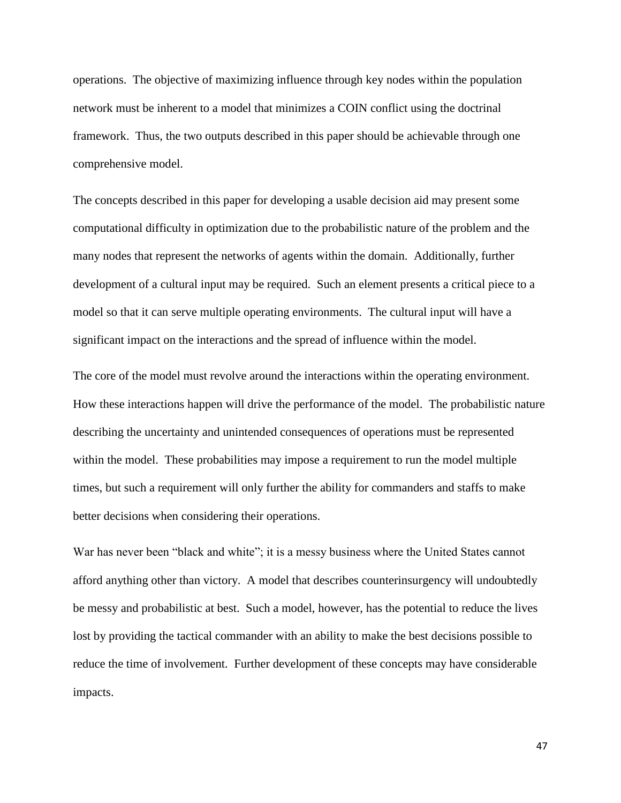operations. The objective of maximizing influence through key nodes within the population network must be inherent to a model that minimizes a COIN conflict using the doctrinal framework. Thus, the two outputs described in this paper should be achievable through one comprehensive model.

The concepts described in this paper for developing a usable decision aid may present some computational difficulty in optimization due to the probabilistic nature of the problem and the many nodes that represent the networks of agents within the domain. Additionally, further development of a cultural input may be required. Such an element presents a critical piece to a model so that it can serve multiple operating environments. The cultural input will have a significant impact on the interactions and the spread of influence within the model.

The core of the model must revolve around the interactions within the operating environment. How these interactions happen will drive the performance of the model. The probabilistic nature describing the uncertainty and unintended consequences of operations must be represented within the model. These probabilities may impose a requirement to run the model multiple times, but such a requirement will only further the ability for commanders and staffs to make better decisions when considering their operations.

War has never been "black and white"; it is a messy business where the United States cannot afford anything other than victory. A model that describes counterinsurgency will undoubtedly be messy and probabilistic at best. Such a model, however, has the potential to reduce the lives lost by providing the tactical commander with an ability to make the best decisions possible to reduce the time of involvement. Further development of these concepts may have considerable impacts.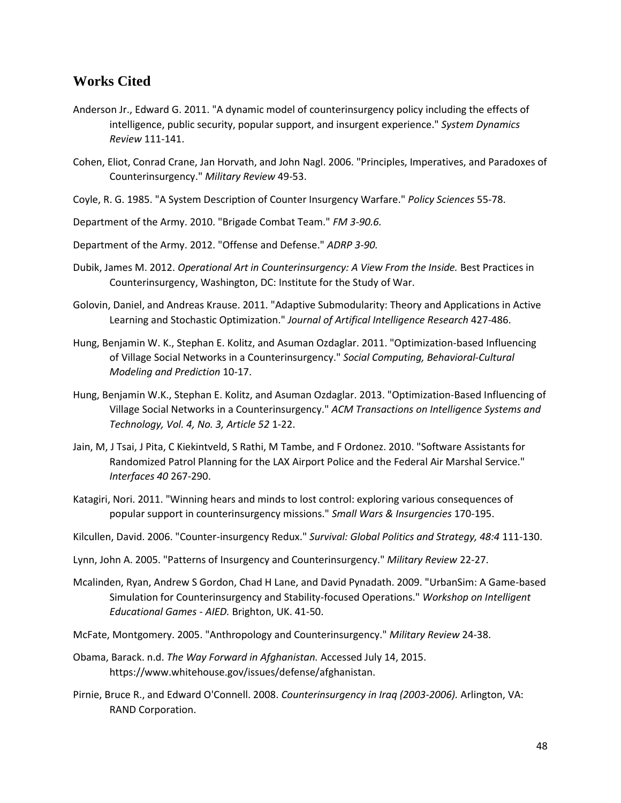## **Works Cited**

- Anderson Jr., Edward G. 2011. "A dynamic model of counterinsurgency policy including the effects of intelligence, public security, popular support, and insurgent experience." *System Dynamics Review* 111-141.
- Cohen, Eliot, Conrad Crane, Jan Horvath, and John Nagl. 2006. "Principles, Imperatives, and Paradoxes of Counterinsurgency." *Military Review* 49-53.
- Coyle, R. G. 1985. "A System Description of Counter Insurgency Warfare." *Policy Sciences* 55-78.
- Department of the Army. 2010. "Brigade Combat Team." *FM 3-90.6.*
- Department of the Army. 2012. "Offense and Defense." *ADRP 3-90.*
- Dubik, James M. 2012. *Operational Art in Counterinsurgency: A View From the Inside.* Best Practices in Counterinsurgency, Washington, DC: Institute for the Study of War.
- Golovin, Daniel, and Andreas Krause. 2011. "Adaptive Submodularity: Theory and Applications in Active Learning and Stochastic Optimization." *Journal of Artifical Intelligence Research* 427-486.
- Hung, Benjamin W. K., Stephan E. Kolitz, and Asuman Ozdaglar. 2011. "Optimization-based Influencing of Village Social Networks in a Counterinsurgency." *Social Computing, Behavioral-Cultural Modeling and Prediction* 10-17.
- Hung, Benjamin W.K., Stephan E. Kolitz, and Asuman Ozdaglar. 2013. "Optimization-Based Influencing of Village Social Networks in a Counterinsurgency." *ACM Transactions on Intelligence Systems and Technology, Vol. 4, No. 3, Article 52* 1-22.
- Jain, M, J Tsai, J Pita, C Kiekintveld, S Rathi, M Tambe, and F Ordonez. 2010. "Software Assistants for Randomized Patrol Planning for the LAX Airport Police and the Federal Air Marshal Service." *Interfaces 40* 267-290.
- Katagiri, Nori. 2011. "Winning hears and minds to lost control: exploring various consequences of popular support in counterinsurgency missions." *Small Wars & Insurgencies* 170-195.
- Kilcullen, David. 2006. "Counter-insurgency Redux." *Survival: Global Politics and Strategy, 48:4* 111-130.
- Lynn, John A. 2005. "Patterns of Insurgency and Counterinsurgency." *Military Review* 22-27.
- Mcalinden, Ryan, Andrew S Gordon, Chad H Lane, and David Pynadath. 2009. "UrbanSim: A Game-based Simulation for Counterinsurgency and Stability-focused Operations." *Workshop on Intelligent Educational Games - AIED.* Brighton, UK. 41-50.
- McFate, Montgomery. 2005. "Anthropology and Counterinsurgency." *Military Review* 24-38.
- Obama, Barack. n.d. *The Way Forward in Afghanistan.* Accessed July 14, 2015. https://www.whitehouse.gov/issues/defense/afghanistan.
- Pirnie, Bruce R., and Edward O'Connell. 2008. *Counterinsurgency in Iraq (2003-2006).* Arlington, VA: RAND Corporation.